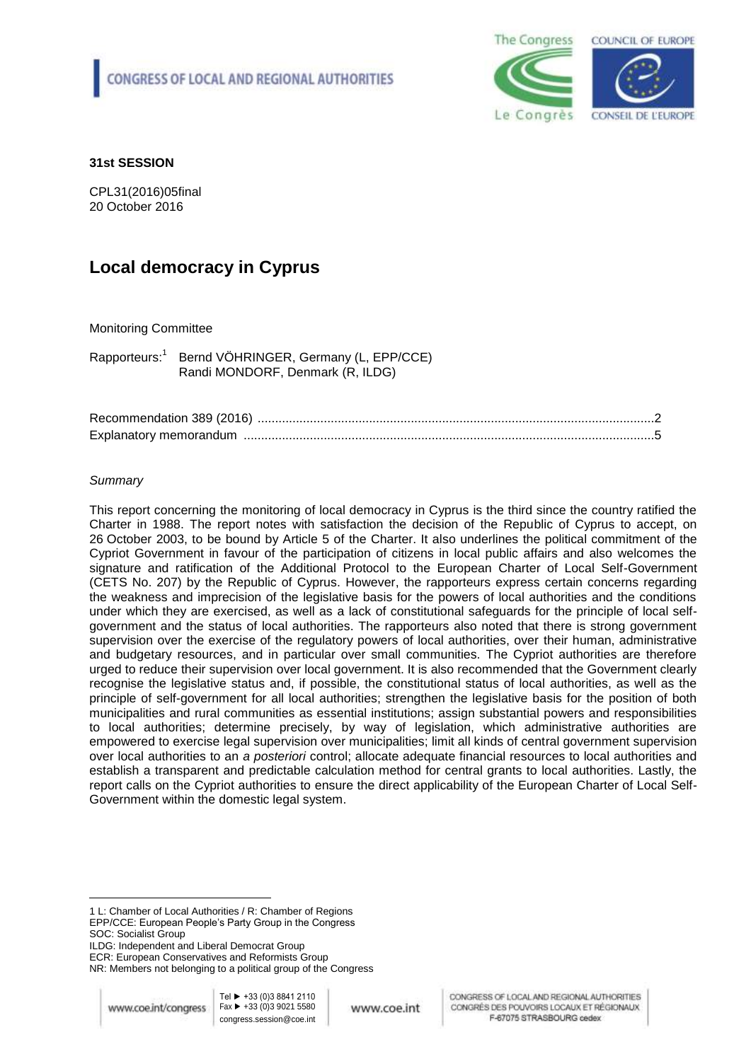

### **31st SESSION**

CPL31(2016)05final 20 October 2016

# **Local democracy in Cyprus**

### Monitoring Committee

Rapporteurs: 1 Bernd VÖHRINGER, Germany (L, EPP/CCE) Randi MONDORF, Denmark (R, ILDG)

### *Summary*

This report concerning the monitoring of local democracy in Cyprus is the third since the country ratified the Charter in 1988. The report notes with satisfaction the decision of the Republic of Cyprus to accept, on 26 October 2003, to be bound by Article 5 of the Charter. It also underlines the political commitment of the Cypriot Government in favour of the participation of citizens in local public affairs and also welcomes the signature and ratification of the Additional Protocol to the European Charter of Local Self-Government (CETS No. 207) by the Republic of Cyprus. However, the rapporteurs express certain concerns regarding the weakness and imprecision of the legislative basis for the powers of local authorities and the conditions under which they are exercised, as well as a lack of constitutional safeguards for the principle of local selfgovernment and the status of local authorities. The rapporteurs also noted that there is strong government supervision over the exercise of the regulatory powers of local authorities, over their human, administrative and budgetary resources, and in particular over small communities. The Cypriot authorities are therefore urged to reduce their supervision over local government. It is also recommended that the Government clearly recognise the legislative status and, if possible, the constitutional status of local authorities, as well as the principle of self-government for all local authorities; strengthen the legislative basis for the position of both municipalities and rural communities as essential institutions; assign substantial powers and responsibilities to local authorities; determine precisely, by way of legislation, which administrative authorities are empowered to exercise legal supervision over municipalities; limit all kinds of central government supervision over local authorities to an *a posteriori* control; allocate adequate financial resources to local authorities and establish a transparent and predictable calculation method for central grants to local authorities. Lastly, the report calls on the Cypriot authorities to ensure the direct applicability of the European Charter of Local Self-Government within the domestic legal system.

 $\overline{a}$ 

<sup>1</sup> L: Chamber of Local Authorities / R: Chamber of Regions EPP/CCE: European People's Party Group in the Congress SOC: Socialist Group

ILDG: Independent and Liberal Democrat Group

ECR: European Conservatives and Reformists Group

NR: Members not belonging to a political group of the Congress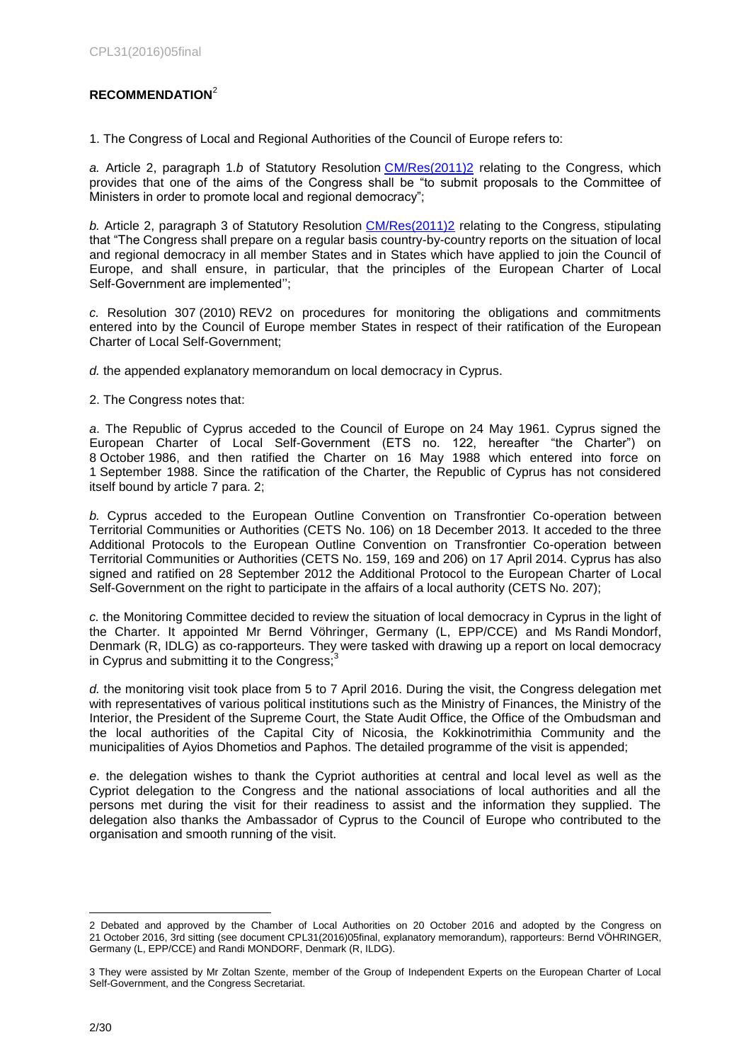### <span id="page-1-0"></span>**RECOMMENDATION**<sup>2</sup>

1. The Congress of Local and Regional Authorities of the Council of Europe refers to:

*a.* Article 2, paragraph 1.*b* of Statutory Resolution [CM/Res\(2011\)2](https://wcd.coe.int/ViewDoc.jsp?p=&Ref=CM/Res(2011)2&Language=lanEnglish&Ver=original&Site=COE&BackColorInternet=C3C3C3&BackColorIntranet=CACC9A&BackColorLogged=EFEA9C&direct=true) relating to the Congress, which provides that one of the aims of the Congress shall be "to submit proposals to the Committee of Ministers in order to promote local and regional democracy";

*b.* Article 2, paragraph 3 of Statutory Resolution [CM/Res\(2011\)2](https://wcd.coe.int/ViewDoc.jsp?p=&Ref=CM/Res(2011)2&Language=lanEnglish&Ver=original&Site=COE&BackColorInternet=C3C3C3&BackColorIntranet=CACC9A&BackColorLogged=EFEA9C&direct=true) relating to the Congress, stipulating that "The Congress shall prepare on a regular basis country-by-country reports on the situation of local and regional democracy in all member States and in States which have applied to join the Council of Europe, and shall ensure, in particular, that the principles of the European Charter of Local Self-Government are implemented'';

*c.* Resolution 307 (2010) REV2 on procedures for monitoring the obligations and commitments entered into by the Council of Europe member States in respect of their ratification of the European Charter of Local Self-Government;

*d.* the appended explanatory memorandum on local democracy in Cyprus.

2. The Congress notes that:

*a*. The Republic of Cyprus acceded to the Council of Europe on 24 May 1961. Cyprus signed the European Charter of Local Self-Government (ETS no. 122, hereafter "the Charter") on 8 October 1986, and then ratified the Charter on 16 May 1988 which entered into force on 1 September 1988. Since the ratification of the Charter, the Republic of Cyprus has not considered itself bound by article 7 para. 2;

*b.* Cyprus acceded to the European Outline Convention on Transfrontier Co-operation between Territorial Communities or Authorities (CETS No. 106) on 18 December 2013. It acceded to the three Additional Protocols to the European Outline Convention on Transfrontier Co-operation between Territorial Communities or Authorities (CETS No. 159, 169 and 206) on 17 April 2014. Cyprus has also signed and ratified on 28 September 2012 the Additional Protocol to the European Charter of Local Self-Government on the right to participate in the affairs of a local authority (CETS No. 207);

*c.* the Monitoring Committee decided to review the situation of local democracy in Cyprus in the light of the Charter. It appointed Mr Bernd Vöhringer, Germany (L, EPP/CCE) and Ms Randi Mondorf, Denmark (R, IDLG) as co-rapporteurs. They were tasked with drawing up a report on local democracy in Cyprus and submitting it to the Congress;

*d.* the monitoring visit took place from 5 to 7 April 2016. During the visit, the Congress delegation met with representatives of various political institutions such as the Ministry of Finances, the Ministry of the Interior, the President of the Supreme Court, the State Audit Office, the Office of the Ombudsman and the local authorities of the Capital City of Nicosia, the Kokkinotrimithia Community and the municipalities of Ayios Dhometios and Paphos. The detailed programme of the visit is appended;

*e*. the delegation wishes to thank the Cypriot authorities at central and local level as well as the Cypriot delegation to the Congress and the national associations of local authorities and all the persons met during the visit for their readiness to assist and the information they supplied. The delegation also thanks the Ambassador of Cyprus to the Council of Europe who contributed to the organisation and smooth running of the visit.

 $\overline{a}$ 

<sup>2</sup> Debated and approved by the Chamber of Local Authorities on 20 October 2016 and adopted by the Congress on 21 October 2016, 3rd sitting (see document CPL31(2016)05final, explanatory memorandum), rapporteurs: Bernd VÖHRINGER, Germany (L, EPP/CCE) and Randi MONDORF, Denmark (R, ILDG).

<sup>3</sup> They were assisted by Mr Zoltan Szente, member of the Group of Independent Experts on the European Charter of Local Self-Government, and the Congress Secretariat.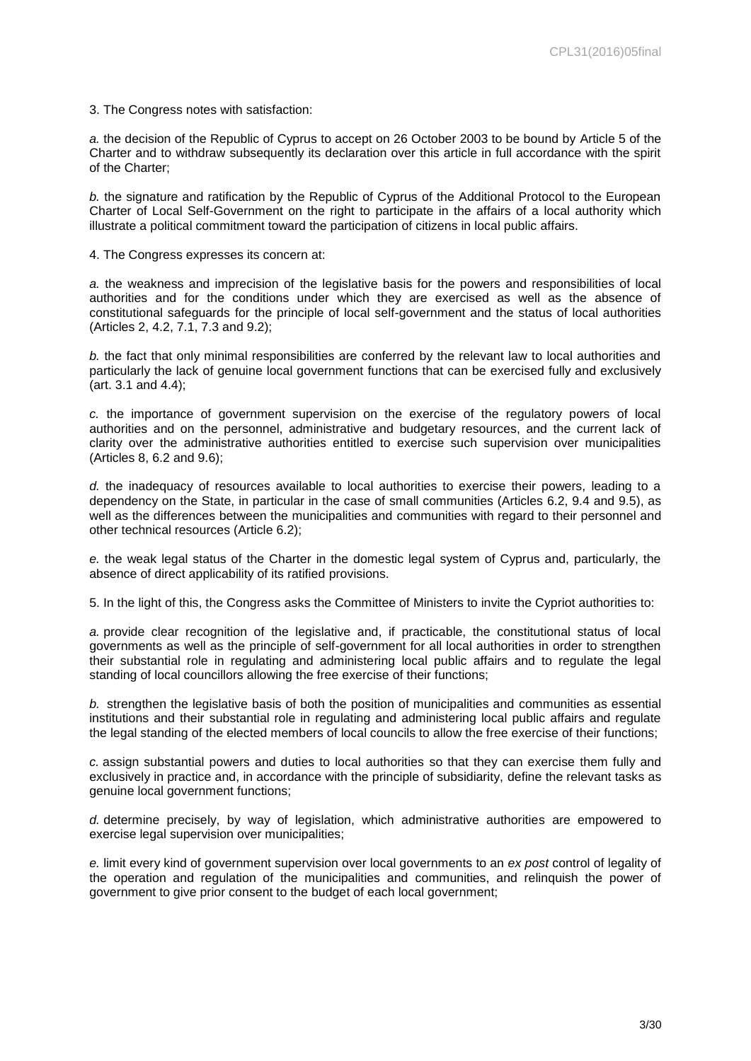3. The Congress notes with satisfaction:

*a.* the decision of the Republic of Cyprus to accept on 26 October 2003 to be bound by Article 5 of the Charter and to withdraw subsequently its declaration over this article in full accordance with the spirit of the Charter;

*b.* the signature and ratification by the Republic of Cyprus of the Additional Protocol to the European Charter of Local Self-Government on the right to participate in the affairs of a local authority which illustrate a political commitment toward the participation of citizens in local public affairs.

4. The Congress expresses its concern at:

*a.* the weakness and imprecision of the legislative basis for the powers and responsibilities of local authorities and for the conditions under which they are exercised as well as the absence of constitutional safeguards for the principle of local self-government and the status of local authorities (Articles 2, 4.2, 7.1, 7.3 and 9.2);

*b.* the fact that only minimal responsibilities are conferred by the relevant law to local authorities and particularly the lack of genuine local government functions that can be exercised fully and exclusively (art. 3.1 and 4.4);

*c.* the importance of government supervision on the exercise of the regulatory powers of local authorities and on the personnel, administrative and budgetary resources, and the current lack of clarity over the administrative authorities entitled to exercise such supervision over municipalities (Articles 8, 6.2 and 9.6);

*d.* the inadequacy of resources available to local authorities to exercise their powers, leading to a dependency on the State, in particular in the case of small communities (Articles 6.2, 9.4 and 9.5), as well as the differences between the municipalities and communities with regard to their personnel and other technical resources (Article 6.2);

*e.* the weak legal status of the Charter in the domestic legal system of Cyprus and, particularly, the absence of direct applicability of its ratified provisions.

5. In the light of this, the Congress asks the Committee of Ministers to invite the Cypriot authorities to:

*a.* provide clear recognition of the legislative and, if practicable, the constitutional status of local governments as well as the principle of self-government for all local authorities in order to strengthen their substantial role in regulating and administering local public affairs and to regulate the legal standing of local councillors allowing the free exercise of their functions;

*b.* strengthen the legislative basis of both the position of municipalities and communities as essential institutions and their substantial role in regulating and administering local public affairs and regulate the legal standing of the elected members of local councils to allow the free exercise of their functions;

*c.* assign substantial powers and duties to local authorities so that they can exercise them fully and exclusively in practice and, in accordance with the principle of subsidiarity, define the relevant tasks as genuine local government functions;

*d.* determine precisely, by way of legislation, which administrative authorities are empowered to exercise legal supervision over municipalities;

*e.* limit every kind of government supervision over local governments to an *ex post* control of legality of the operation and regulation of the municipalities and communities, and relinquish the power of government to give prior consent to the budget of each local government;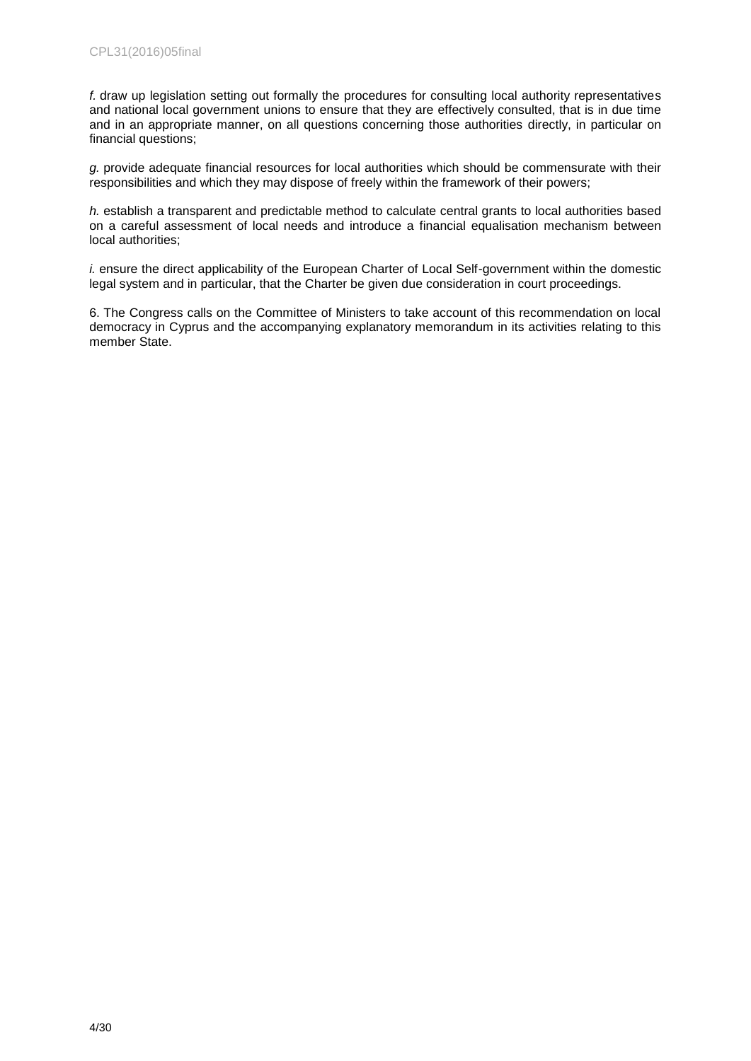*f.* draw up legislation setting out formally the procedures for consulting local authority representatives and national local government unions to ensure that they are effectively consulted, that is in due time and in an appropriate manner, on all questions concerning those authorities directly, in particular on financial questions;

*g.* provide adequate financial resources for local authorities which should be commensurate with their responsibilities and which they may dispose of freely within the framework of their powers;

*h.* establish a transparent and predictable method to calculate central grants to local authorities based on a careful assessment of local needs and introduce a financial equalisation mechanism between local authorities;

*i.* ensure the direct applicability of the European Charter of Local Self-government within the domestic legal system and in particular, that the Charter be given due consideration in court proceedings.

6. The Congress calls on the Committee of Ministers to take account of this recommendation on local democracy in Cyprus and the accompanying explanatory memorandum in its activities relating to this member State.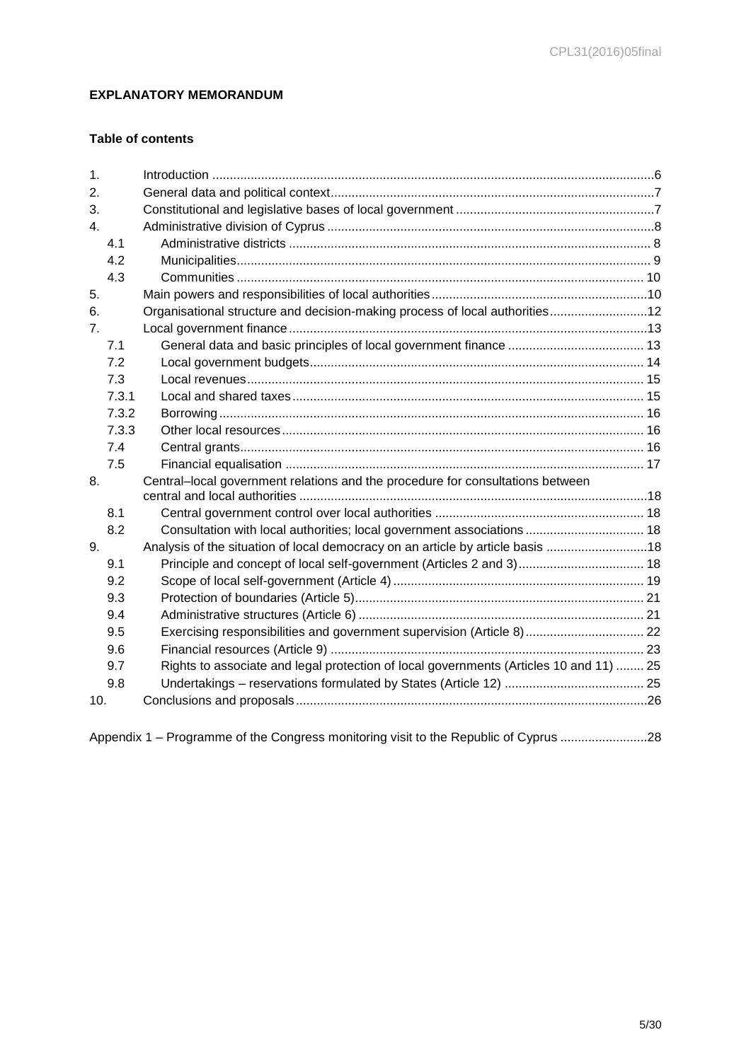## <span id="page-4-0"></span>**EXPLANATORY MEMORANDUM**

## **Table of contents**

| 1.             |       |                                                                                        |  |
|----------------|-------|----------------------------------------------------------------------------------------|--|
| 2.             |       |                                                                                        |  |
| 3.             |       |                                                                                        |  |
| $\mathbf{4}$ . |       |                                                                                        |  |
|                | 4.1   |                                                                                        |  |
|                | 4.2   |                                                                                        |  |
|                | 4.3   |                                                                                        |  |
| 5.             |       |                                                                                        |  |
| 6.             |       | Organisational structure and decision-making process of local authorities 12           |  |
| 7 <sub>1</sub> |       |                                                                                        |  |
|                | 7.1   |                                                                                        |  |
|                | 7.2   |                                                                                        |  |
|                | 7.3   |                                                                                        |  |
|                | 7.3.1 |                                                                                        |  |
|                | 7.3.2 |                                                                                        |  |
|                | 7.3.3 |                                                                                        |  |
|                | 7.4   |                                                                                        |  |
|                | 7.5   |                                                                                        |  |
| 8.             |       | Central-local government relations and the procedure for consultations between         |  |
|                |       |                                                                                        |  |
|                | 8.1   |                                                                                        |  |
|                | 8.2   | Consultation with local authorities; local government associations  18                 |  |
| 9.             |       | Analysis of the situation of local democracy on an article by article basis 18         |  |
|                | 9.1   | Principle and concept of local self-government (Articles 2 and 3) 18                   |  |
|                | 9.2   |                                                                                        |  |
|                | 9.3   |                                                                                        |  |
|                | 9.4   |                                                                                        |  |
|                | 9.5   | Exercising responsibilities and government supervision (Article 8)  22                 |  |
|                | 9.6   |                                                                                        |  |
|                | 9.7   | Rights to associate and legal protection of local governments (Articles 10 and 11)  25 |  |
|                | 9.8   |                                                                                        |  |
| 10.            |       |                                                                                        |  |
|                |       |                                                                                        |  |

Appendix 1 – [Programme of the Congress monitoring visit to the Republic of Cyprus](#page-27-0) .........................28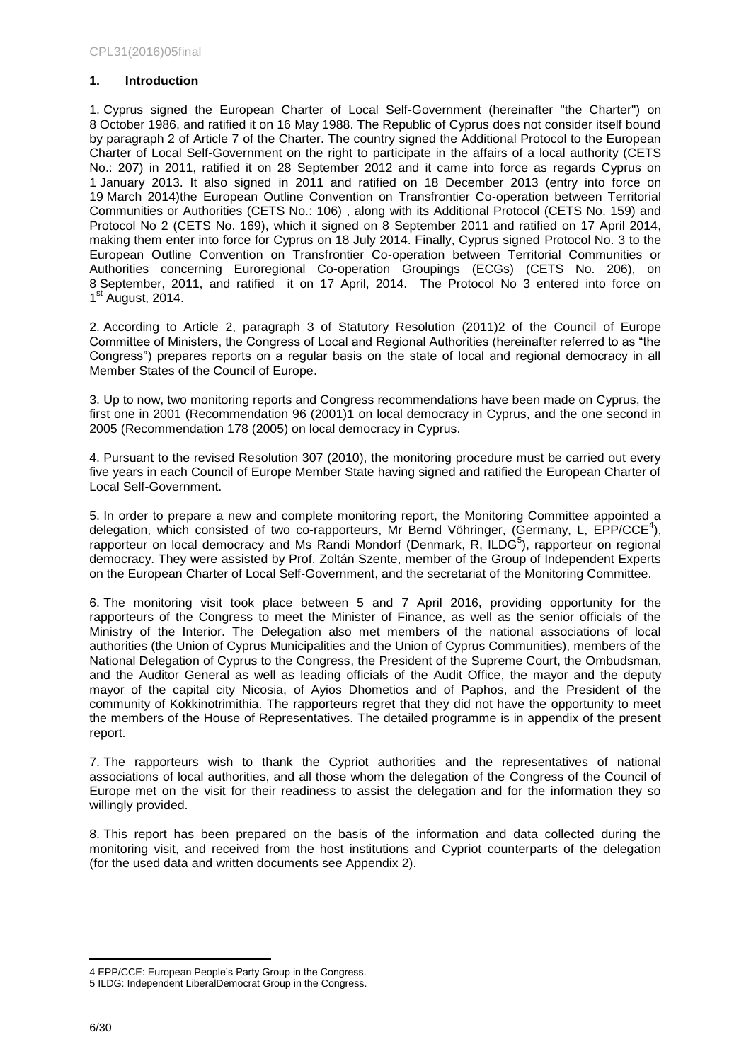### <span id="page-5-0"></span>**1. Introduction**

1. Cyprus signed the European Charter of Local Self-Government (hereinafter "the Charter") on 8 October 1986, and ratified it on 16 May 1988. The Republic of Cyprus does not consider itself bound by paragraph 2 of Article 7 of the Charter. The country signed the Additional Protocol to the European Charter of Local Self-Government on the right to participate in the affairs of a local authority (CETS No.: 207) in 2011, ratified it on 28 September 2012 and it came into force as regards Cyprus on 1 January 2013. It also signed in 2011 and ratified on 18 December 2013 (entry into force on 19 March 2014)the European Outline Convention on Transfrontier Co-operation between Territorial Communities or Authorities (CETS No.: 106) , along with its Additional Protocol (CETS No. 159) and Protocol No 2 (CETS No. 169), which it signed on 8 September 2011 and ratified on 17 April 2014, making them enter into force for Cyprus on 18 July 2014. Finally, Cyprus signed [Protocol No. 3 to the](http://www.coe.int/en/web/conventions/full-list/-/conventions/treaty/206)  [European Outline Convention on Transfrontier Co-operation between Territorial Communities or](http://www.coe.int/en/web/conventions/full-list/-/conventions/treaty/206)  [Authorities concerning Euroregional Co-operation Groupings \(ECGs\)](http://www.coe.int/en/web/conventions/full-list/-/conventions/treaty/206) (CETS No. 206), on 8 September, 2011, and ratified it on 17 April, 2014. The Protocol No 3 entered into force on 1<sup>st</sup> August, 2014.

2. According to Article 2, paragraph 3 of Statutory Resolution (2011)2 of the Council of Europe Committee of Ministers, the Congress of Local and Regional Authorities (hereinafter referred to as "the Congress") prepares reports on a regular basis on the state of local and regional democracy in all Member States of the Council of Europe.

3. Up to now, two monitoring reports and Congress recommendations have been made on Cyprus, the first one in 2001 (Recommendation 96 (2001[\)1](https://wcd.coe.int/ViewDoc.jsp?p=&id=823603&Site=Congress&BackColorInternet=C3C3C3&BackColorIntranet=CACC9A&BackColorLogged=EFEA9C&direct=true#P4_24) on local democracy in Cyprus, and the one second in 2005 (Recommendation 178 (2005) on local democracy in Cyprus.

4. Pursuant to the revised Resolution 307 (2010), the monitoring procedure must be carried out every five years in each Council of Europe Member State having signed and ratified the European Charter of Local Self-Government.

5. In order to prepare a new and complete monitoring report, the Monitoring Committee appointed a delegation, which consisted of two co-rapporteurs, Mr Bernd Vöhringer, (Germany, L, EPP/CCE<sup>4</sup>), rapporteur on local democracy and Ms Randi Mondorf (Denmark, R, ILDG<sup>5</sup>), rapporteur on regional democracy. They were assisted by Prof. Zoltán Szente, member of the Group of Independent Experts on the European Charter of Local Self-Government, and the secretariat of the Monitoring Committee.

6. The monitoring visit took place between 5 and 7 April 2016, providing opportunity for the rapporteurs of the Congress to meet the Minister of Finance, as well as the senior officials of the Ministry of the Interior. The Delegation also met members of the national associations of local authorities (the Union of Cyprus Municipalities and the Union of Cyprus Communities), members of the National Delegation of Cyprus to the Congress, the President of the Supreme Court, the Ombudsman, and the Auditor General as well as leading officials of the Audit Office, the mayor and the deputy mayor of the capital city Nicosia, of Ayios Dhometios and of Paphos, and the President of the community of Kokkinotrimithia. The rapporteurs regret that they did not have the opportunity to meet the members of the House of Representatives. The detailed programme is in appendix of the present report.

7. The rapporteurs wish to thank the Cypriot authorities and the representatives of national associations of local authorities, and all those whom the delegation of the Congress of the Council of Europe met on the visit for their readiness to assist the delegation and for the information they so willingly provided.

8. This report has been prepared on the basis of the information and data collected during the monitoring visit, and received from the host institutions and Cypriot counterparts of the delegation (for the used data and written documents see Appendix 2).

 $\overline{a}$ 

<sup>4</sup> EPP/CCE: European People's Party Group in the Congress.

<sup>5</sup> ILDG: Independent LiberalDemocrat Group in the Congress.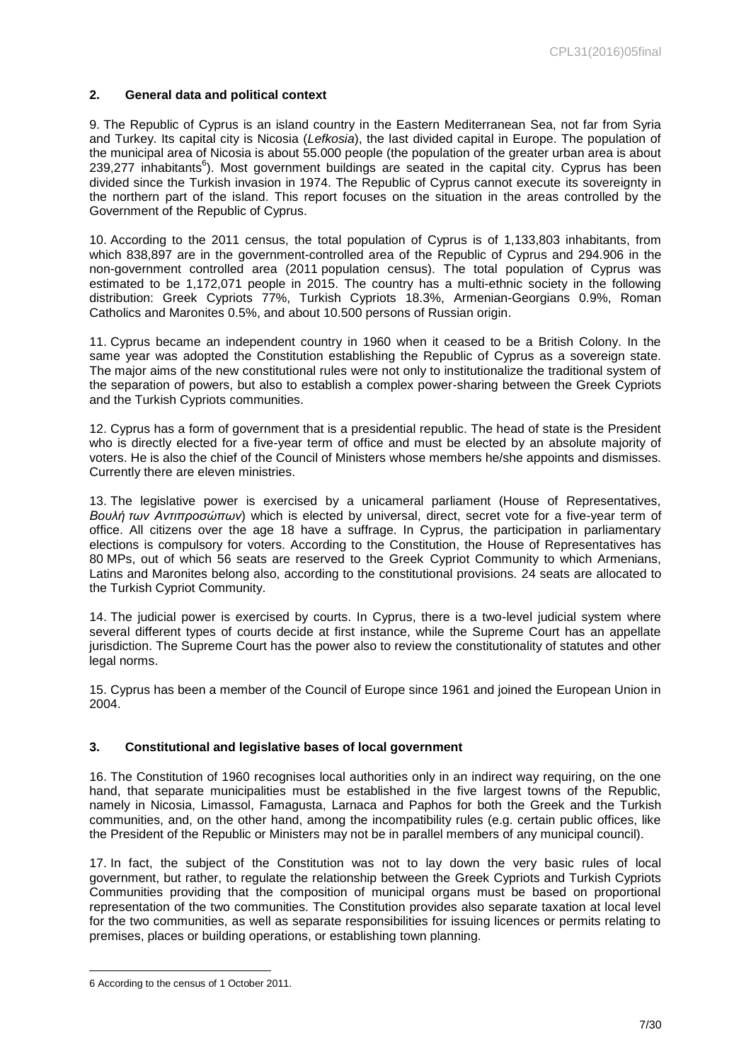### <span id="page-6-0"></span>**2. General data and political context**

9. The Republic of Cyprus is an [island country](https://en.wikipedia.org/wiki/Island_country) in the [Eastern Mediterranean](https://en.wikipedia.org/wiki/Eastern_Mediterranean) Sea, not far from Syria and Turkey. Its capital city is Nicosia (*Lefkosia*), the last divided capital in Europe. The population of the municipal area of Nicosia is about 55.000 people (the population of the greater urban area is about 239,277 inhabitants<sup>6</sup>). Most government buildings are seated in the capital city. Cyprus has been divided since the Turkish invasion in 1974. The Republic of Cyprus cannot execute its sovereignty in the northern part of the island. This report focuses on the situation in the areas controlled by the Government of the Republic of Cyprus.

10. According to the 2011 census, the total population of Cyprus is of 1,133,803 inhabitants, from which 838,897 are in the government-controlled area of the Republic of Cyprus and 294.906 in the non-government controlled area (2011 population census). The total population of Cyprus was estimated to be 1,172,071 people in 2015. The country has a multi-ethnic society in the following distribution: Greek Cypriots 77%, Turkish Cypriots 18.3%, Armenian-Georgians 0.9%, Roman Catholics and Maronites 0.5%, and about 10.500 persons of Russian origin.

11. Cyprus became an independent country in 1960 when it ceased to be a British Colony. In the same year was adopted the Constitution establishing the Republic of Cyprus as a sovereign state. The major aims of the new constitutional rules were not only to institutionalize the traditional system of the separation of powers, but also to establish a complex power-sharing between the Greek Cypriots and the Turkish Cypriots communities.

12. Cyprus has a form of government that is a presidential republic. The head of state is the President who is directly elected for a five-year term of office and must be elected by an absolute majority of voters. He is also the chief of the Council of Ministers whose members he/she appoints and dismisses. Currently there are eleven ministries.

13. The legislative power is exercised by a unicameral parliament (House of Representatives, *Βουλή των Αντιπροσώπων*) which is elected by universal, direct, secret vote for a five-year term of office. All citizens over the age 18 have a suffrage. In Cyprus, the participation in parliamentary elections is compulsory for voters. According to the Constitution, the House of Representatives has 80 MPs, out of which 56 seats are reserved to the Greek Cypriot Community to which Armenians, Latins and Maronites belong also, according to the constitutional provisions. 24 seats are allocated to the Turkish Cypriot Community.

14. The judicial power is exercised by courts. In Cyprus, there is a two-level judicial system where several different types of courts decide at first instance, while the Supreme Court has an appellate jurisdiction. The Supreme Court has the power also to review the constitutionality of statutes and other legal norms.

15. Cyprus has been a member of the Council of Europe since 1961 and joined the European Union in 2004.

### <span id="page-6-1"></span>**3. Constitutional and legislative bases of local government**

16. The Constitution of 1960 recognises local authorities only in an indirect way requiring, on the one hand, that separate municipalities must be established in the five largest towns of the Republic, namely in Nicosia, Limassol, Famagusta, Larnaca and Paphos for both the Greek and the Turkish communities, and, on the other hand, among the incompatibility rules (e.g. certain public offices, like the President of the Republic or Ministers may not be in parallel members of any municipal council).

17. In fact, the subject of the Constitution was not to lay down the very basic rules of local government, but rather, to regulate the relationship between the Greek Cypriots and Turkish Cypriots Communities providing that the composition of municipal organs must be based on proportional representation of the two communities. The Constitution provides also separate taxation at local level for the two communities, as well as separate responsibilities for issuing licences or permits relating to premises, places or building operations, or establishing town planning.

<sup>6</sup> According to the census of 1 October 2011.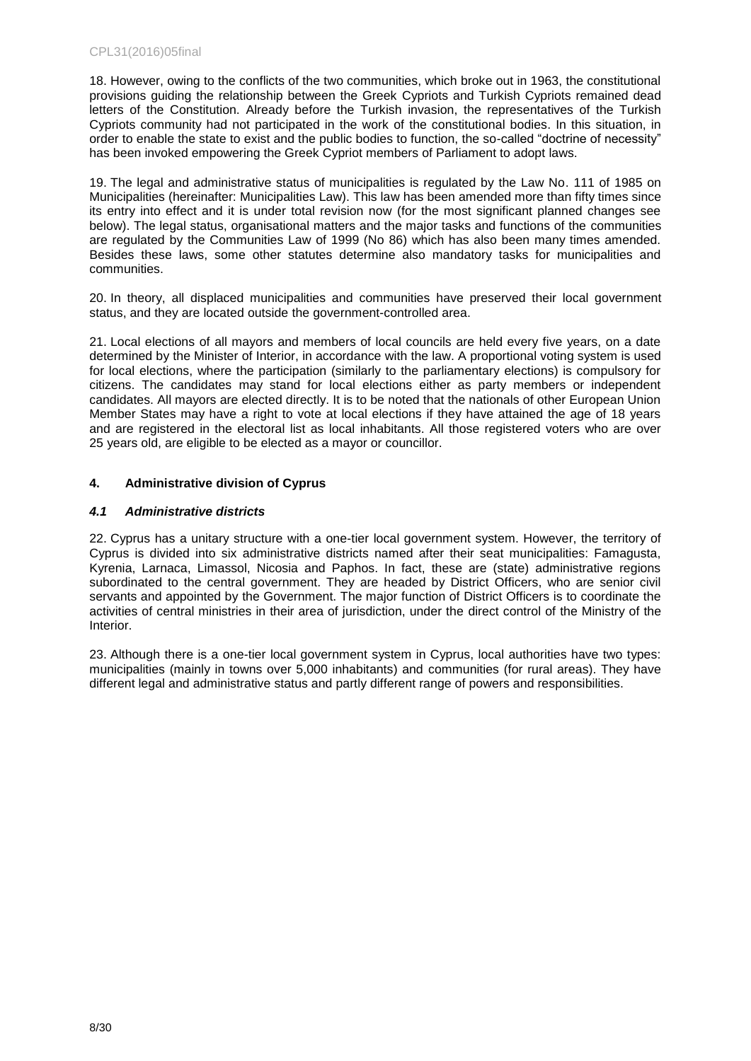18. However, owing to the conflicts of the two communities, which broke out in 1963, the constitutional provisions guiding the relationship between the Greek Cypriots and Turkish Cypriots remained dead letters of the Constitution. Already before the Turkish invasion, the representatives of the Turkish Cypriots community had not participated in the work of the constitutional bodies. In this situation, in order to enable the state to exist and the public bodies to function, the so-called "doctrine of necessity" has been invoked empowering the Greek Cypriot members of Parliament to adopt laws.

19. The legal and administrative status of municipalities is regulated by the Law No. 111 of 1985 on Municipalities (hereinafter: Municipalities Law). This law has been amended more than fifty times since its entry into effect and it is under total revision now (for the most significant planned changes see below). The legal status, organisational matters and the major tasks and functions of the communities are regulated by the Communities Law of 1999 (No 86) which has also been many times amended. Besides these laws, some other statutes determine also mandatory tasks for municipalities and communities.

20. In theory, all displaced municipalities and communities have preserved their local government status, and they are located outside the government-controlled area.

21. Local elections of all mayors and members of local councils are held every five years, on a date determined by the Minister of Interior, in accordance with the law. A proportional voting system is used for local elections, where the participation (similarly to the parliamentary elections) is compulsory for citizens. The candidates may stand for local elections either as party members or independent candidates. All mayors are elected directly. It is to be noted that the nationals of other European Union Member States may have a right to vote at local elections if they have attained the age of 18 years and are registered in the electoral list as local inhabitants. All those registered voters who are over 25 years old, are eligible to be elected as a mayor or councillor.

### <span id="page-7-0"></span>**4. Administrative division of Cyprus**

### <span id="page-7-1"></span>*4.1 Administrative districts*

22. Cyprus has a unitary structure with a one-tier local government system. However, the territory of Cyprus is divided into six administrative districts named after their seat municipalities: Famagusta, Kyrenia, Larnaca, Limassol, Nicosia and Paphos. In fact, these are (state) administrative regions subordinated to the central government. They are headed by District Officers, who are senior civil servants and appointed by the Government. The major function of District Officers is to coordinate the activities of central ministries in their area of jurisdiction, under the direct control of the Ministry of the Interior.

23. Although there is a one-tier local government system in Cyprus, local authorities have two types: municipalities (mainly in towns over 5,000 inhabitants) and communities (for rural areas). They have different legal and administrative status and partly different range of powers and responsibilities.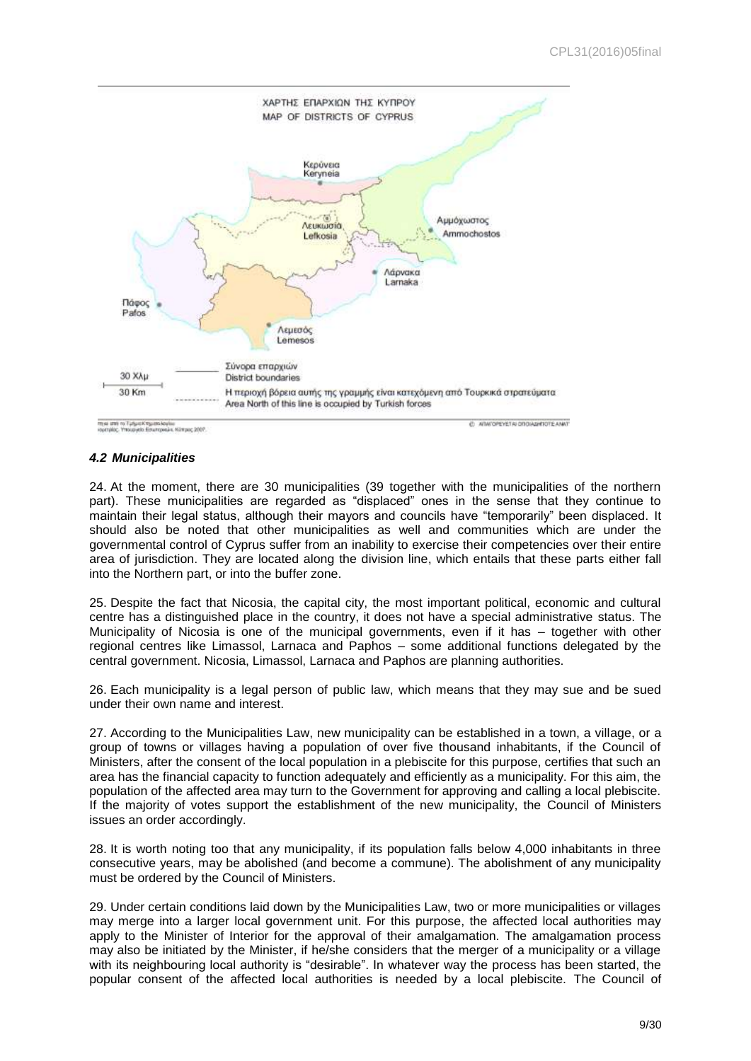

### <span id="page-8-0"></span>*4.2 Municipalities*

24. At the moment, there are 30 municipalities (39 together with the municipalities of the northern part). These municipalities are regarded as "displaced" ones in the sense that they continue to maintain their legal status, although their mayors and councils have "temporarily" been displaced. It should also be noted that other municipalities as well and communities which are under the governmental control of Cyprus suffer from an inability to exercise their competencies over their entire area of jurisdiction. They are located along the division line, which entails that these parts either fall into the Northern part, or into the buffer zone.

25. Despite the fact that Nicosia, the capital city, the most important political, economic and cultural centre has a distinguished place in the country, it does not have a special administrative status. The Municipality of Nicosia is one of the municipal governments, even if it has – together with other regional centres like Limassol, Larnaca and Paphos – some additional functions delegated by the central government. Nicosia, Limassol, Larnaca and Paphos are planning authorities.

26. Each municipality is a legal person of public law, which means that they may sue and be sued under their own name and interest.

27. According to the Municipalities Law, new municipality can be established in a town, a village, or a group of towns or villages having a population of over five thousand inhabitants, if the Council of Ministers, after the consent of the local population in a plebiscite for this purpose, certifies that such an area has the financial capacity to function adequately and efficiently as a municipality. For this aim, the population of the affected area may turn to the Government for approving and calling a local plebiscite. If the majority of votes support the establishment of the new municipality, the Council of Ministers issues an order accordingly.

28. It is worth noting too that any municipality, if its population falls below 4,000 inhabitants in three consecutive years, may be abolished (and become a commune). The abolishment of any municipality must be ordered by the Council of Ministers.

29. Under certain conditions laid down by the Municipalities Law, two or more municipalities or villages may merge into a larger local government unit. For this purpose, the affected local authorities may apply to the Minister of Interior for the approval of their amalgamation. The amalgamation process may also be initiated by the Minister, if he/she considers that the merger of a municipality or a village with its neighbouring local authority is "desirable". In whatever way the process has been started, the popular consent of the affected local authorities is needed by a local plebiscite. The Council of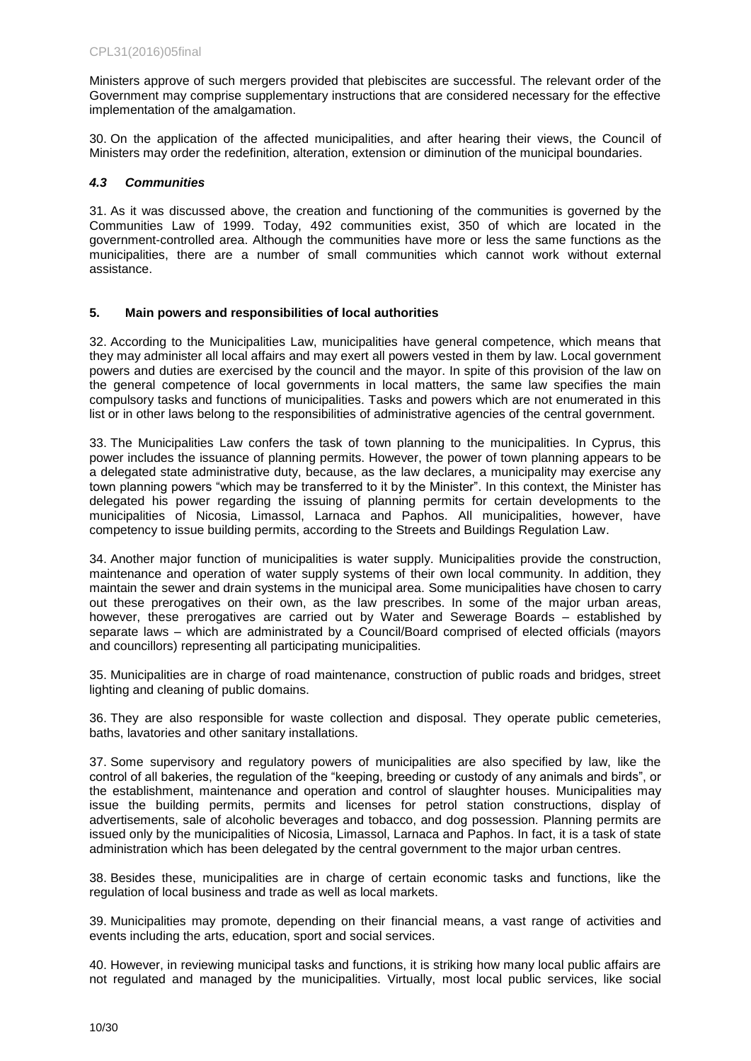Ministers approve of such mergers provided that plebiscites are successful. The relevant order of the Government may comprise supplementary instructions that are considered necessary for the effective implementation of the amalgamation.

30. On the application of the affected municipalities, and after hearing their views, the Council of Ministers may order the redefinition, alteration, extension or diminution of the municipal boundaries.

### <span id="page-9-0"></span>*4.3 Communities*

31. As it was discussed above, the creation and functioning of the communities is governed by the Communities Law of 1999. Today, 492 communities exist, 350 of which are located in the government-controlled area. Although the communities have more or less the same functions as the municipalities, there are a number of small communities which cannot work without external assistance.

### <span id="page-9-1"></span>**5. Main powers and responsibilities of local authorities**

32. According to the Municipalities Law, municipalities have general competence, which means that they may administer all local affairs and may exert all powers vested in them by law. Local government powers and duties are exercised by the council and the mayor. In spite of this provision of the law on the general competence of local governments in local matters, the same law specifies the main compulsory tasks and functions of municipalities. Tasks and powers which are not enumerated in this list or in other laws belong to the responsibilities of administrative agencies of the central government.

33. The Municipalities Law confers the task of town planning to the municipalities. In Cyprus, this power includes the issuance of planning permits. However, the power of town planning appears to be a delegated state administrative duty, because, as the law declares, a municipality may exercise any town planning powers "which may be transferred to it by the Minister". In this context, the Minister has delegated his power regarding the issuing of planning permits for certain developments to the municipalities of Nicosia, Limassol, Larnaca and Paphos. All municipalities, however, have competency to issue building permits, according to the Streets and Buildings Regulation Law.

34. Another major function of municipalities is water supply. Municipalities provide the construction, maintenance and operation of water supply systems of their own local community. In addition, they maintain the sewer and drain systems in the municipal area. Some municipalities have chosen to carry out these prerogatives on their own, as the law prescribes. In some of the major urban areas, however, these prerogatives are carried out by Water and Sewerage Boards – established by separate laws – which are administrated by a Council/Board comprised of elected officials (mayors and councillors) representing all participating municipalities.

35. Municipalities are in charge of road maintenance, construction of public roads and bridges, street lighting and cleaning of public domains.

36. They are also responsible for waste collection and disposal. They operate public cemeteries, baths, lavatories and other sanitary installations.

37. Some supervisory and regulatory powers of municipalities are also specified by law, like the control of all bakeries, the regulation of the "keeping, breeding or custody of any animals and birds", or the establishment, maintenance and operation and control of slaughter houses. Municipalities may issue the building permits, permits and licenses for petrol station constructions, display of advertisements, sale of alcoholic beverages and tobacco, and dog possession. Planning permits are issued only by the municipalities of Nicosia, Limassol, Larnaca and Paphos. In fact, it is a task of state administration which has been delegated by the central government to the major urban centres.

38. Besides these, municipalities are in charge of certain economic tasks and functions, like the regulation of local business and trade as well as local markets.

39. Municipalities may promote, depending on their financial means, a vast range of activities and events including the arts, education, sport and social services.

40. However, in reviewing municipal tasks and functions, it is striking how many local public affairs are not regulated and managed by the municipalities. Virtually, most local public services, like social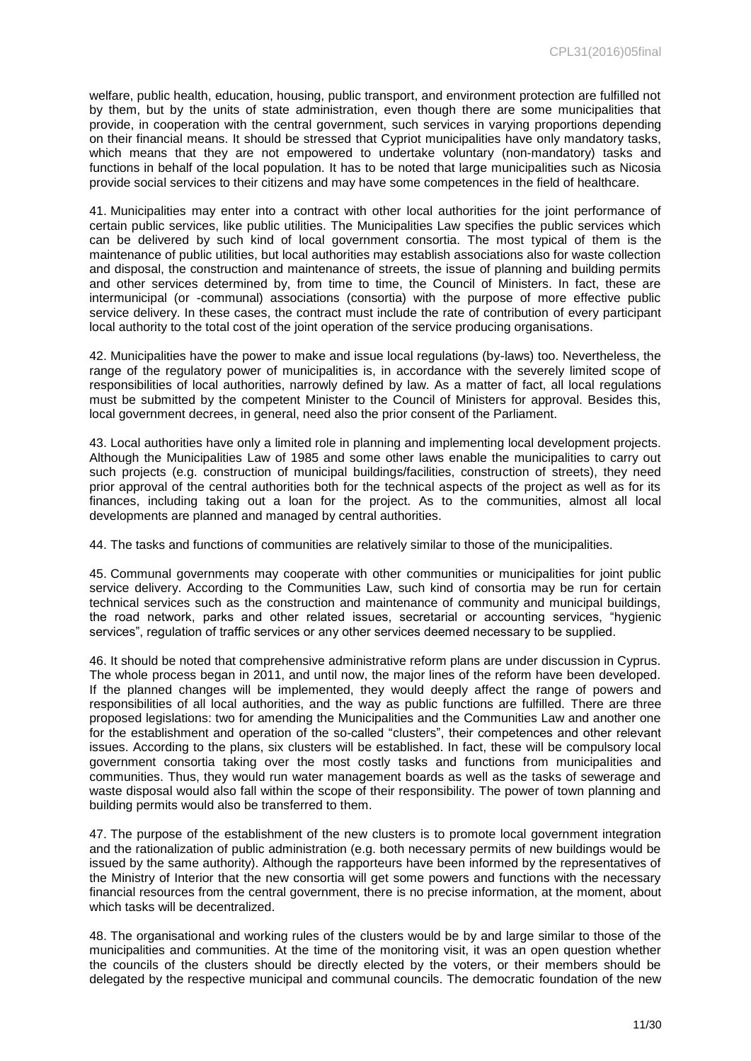welfare, public health, education, housing, public transport, and environment protection are fulfilled not by them, but by the units of state administration, even though there are some municipalities that provide, in cooperation with the central government, such services in varying proportions depending on their financial means. It should be stressed that Cypriot municipalities have only mandatory tasks, which means that they are not empowered to undertake voluntary (non-mandatory) tasks and functions in behalf of the local population. It has to be noted that large municipalities such as Nicosia provide social services to their citizens and may have some competences in the field of healthcare.

41. Municipalities may enter into a contract with other local authorities for the joint performance of certain public services, like public utilities. The Municipalities Law specifies the public services which can be delivered by such kind of local government consortia. The most typical of them is the maintenance of public utilities, but local authorities may establish associations also for waste collection and disposal, the construction and maintenance of streets, the issue of planning and building permits and other services determined by, from time to time, the Council of Ministers. In fact, these are intermunicipal (or -communal) associations (consortia) with the purpose of more effective public service delivery. In these cases, the contract must include the rate of contribution of every participant local authority to the total cost of the joint operation of the service producing organisations.

42. Municipalities have the power to make and issue local regulations (by-laws) too. Nevertheless, the range of the regulatory power of municipalities is, in accordance with the severely limited scope of responsibilities of local authorities, narrowly defined by law. As a matter of fact, all local regulations must be submitted by the competent Minister to the Council of Ministers for approval. Besides this, local government decrees, in general, need also the prior consent of the Parliament.

43. Local authorities have only a limited role in planning and implementing local development projects. Although the Municipalities Law of 1985 and some other laws enable the municipalities to carry out such projects (e.g. construction of municipal buildings/facilities, construction of streets), they need prior approval of the central authorities both for the technical aspects of the project as well as for its finances, including taking out a loan for the project. As to the communities, almost all local developments are planned and managed by central authorities.

44. The tasks and functions of communities are relatively similar to those of the municipalities.

45. Communal governments may cooperate with other communities or municipalities for joint public service delivery. According to the Communities Law, such kind of consortia may be run for certain technical services such as the construction and maintenance of community and municipal buildings, the road network, parks and other related issues, secretarial or accounting services, "hygienic services", regulation of traffic services or any other services deemed necessary to be supplied.

46. It should be noted that comprehensive administrative reform plans are under discussion in Cyprus. The whole process began in 2011, and until now, the major lines of the reform have been developed. If the planned changes will be implemented, they would deeply affect the range of powers and responsibilities of all local authorities, and the way as public functions are fulfilled. There are three proposed legislations: two for amending the Municipalities and the Communities Law and another one for the establishment and operation of the so-called "clusters", their competences and other relevant issues. According to the plans, six clusters will be established. In fact, these will be compulsory local government consortia taking over the most costly tasks and functions from municipalities and communities. Thus, they would run water management boards as well as the tasks of sewerage and waste disposal would also fall within the scope of their responsibility. The power of town planning and building permits would also be transferred to them.

47. The purpose of the establishment of the new clusters is to promote local government integration and the rationalization of public administration (e.g. both necessary permits of new buildings would be issued by the same authority). Although the rapporteurs have been informed by the representatives of the Ministry of Interior that the new consortia will get some powers and functions with the necessary financial resources from the central government, there is no precise information, at the moment, about which tasks will be decentralized.

48. The organisational and working rules of the clusters would be by and large similar to those of the municipalities and communities. At the time of the monitoring visit, it was an open question whether the councils of the clusters should be directly elected by the voters, or their members should be delegated by the respective municipal and communal councils. The democratic foundation of the new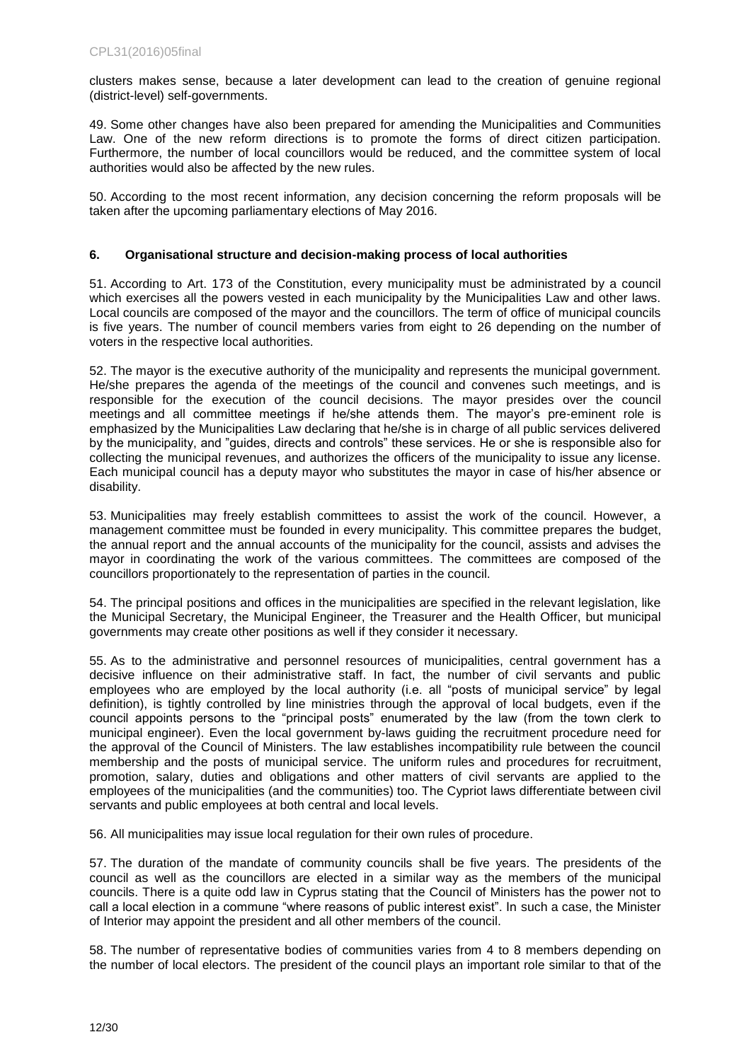clusters makes sense, because a later development can lead to the creation of genuine regional (district-level) self-governments.

49. Some other changes have also been prepared for amending the Municipalities and Communities Law. One of the new reform directions is to promote the forms of direct citizen participation. Furthermore, the number of local councillors would be reduced, and the committee system of local authorities would also be affected by the new rules.

50. According to the most recent information, any decision concerning the reform proposals will be taken after the upcoming parliamentary elections of May 2016.

### <span id="page-11-0"></span>**6. Organisational structure and decision-making process of local authorities**

51. According to Art. 173 of the Constitution, every municipality must be administrated by a council which exercises all the powers vested in each municipality by the Municipalities Law and other laws. Local councils are composed of the mayor and the councillors. The term of office of municipal councils is five years. The number of council members varies from eight to 26 depending on the number of voters in the respective local authorities.

52. The mayor is the executive authority of the municipality and represents the municipal government. He/she prepares the agenda of the meetings of the council and convenes such meetings, and is responsible for the execution of the council decisions. The mayor presides over the council meetings and all committee meetings if he/she attends them. The mayor's pre-eminent role is emphasized by the Municipalities Law declaring that he/she is in charge of all public services delivered by the municipality, and "guides, directs and controls" these services. He or she is responsible also for collecting the municipal revenues, and authorizes the officers of the municipality to issue any license. Each municipal council has a deputy mayor who substitutes the mayor in case of his/her absence or disability.

53. Municipalities may freely establish committees to assist the work of the council. However, a management committee must be founded in every municipality. This committee prepares the budget, the annual report and the annual accounts of the municipality for the council, assists and advises the mayor in coordinating the work of the various committees. The committees are composed of the councillors proportionately to the representation of parties in the council.

54. The principal positions and offices in the municipalities are specified in the relevant legislation, like the Municipal Secretary, the Municipal Engineer, the Treasurer and the Health Officer, but municipal governments may create other positions as well if they consider it necessary.

55. As to the administrative and personnel resources of municipalities, central government has a decisive influence on their administrative staff. In fact, the number of civil servants and public employees who are employed by the local authority (i.e. all "posts of municipal service" by legal definition), is tightly controlled by line ministries through the approval of local budgets, even if the council appoints persons to the "principal posts" enumerated by the law (from the town clerk to municipal engineer). Even the local government by-laws guiding the recruitment procedure need for the approval of the Council of Ministers. The law establishes incompatibility rule between the council membership and the posts of municipal service. The uniform rules and procedures for recruitment, promotion, salary, duties and obligations and other matters of civil servants are applied to the employees of the municipalities (and the communities) too. The Cypriot laws differentiate between civil servants and public employees at both central and local levels.

56. All municipalities may issue local regulation for their own rules of procedure.

57. The duration of the mandate of community councils shall be five years. The presidents of the council as well as the councillors are elected in a similar way as the members of the municipal councils. There is a quite odd law in Cyprus stating that the Council of Ministers has the power not to call a local election in a commune "where reasons of public interest exist". In such a case, the Minister of Interior may appoint the president and all other members of the council.

58. The number of representative bodies of communities varies from 4 to 8 members depending on the number of local electors. The president of the council plays an important role similar to that of the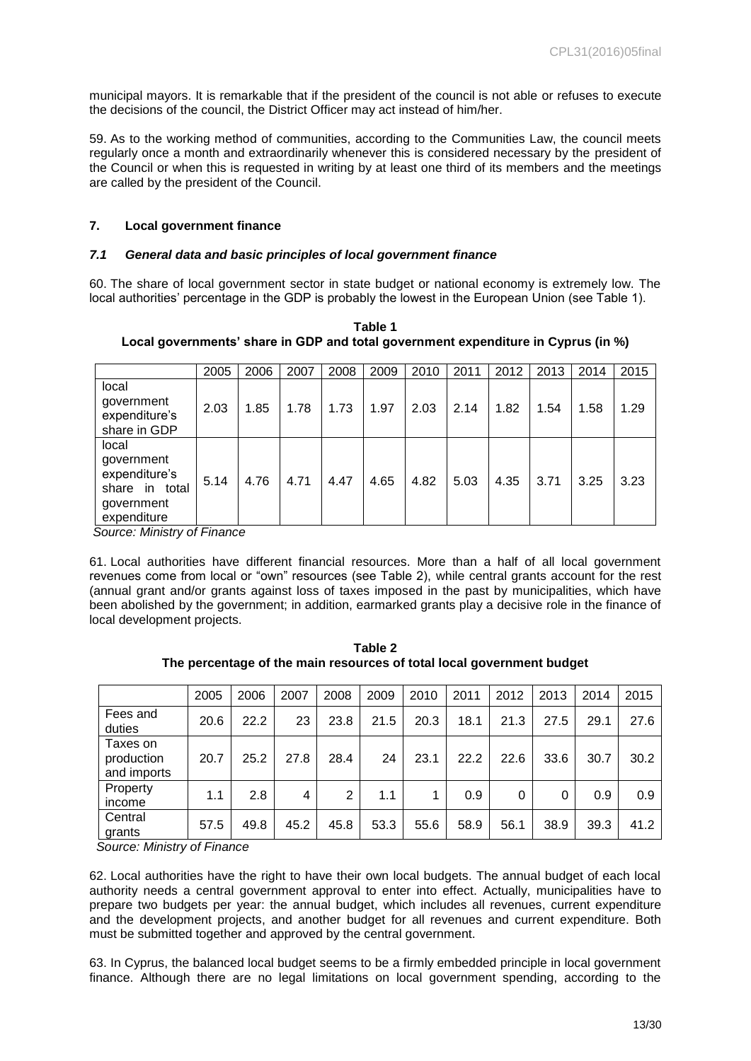municipal mayors. It is remarkable that if the president of the council is not able or refuses to execute the decisions of the council, the District Officer may act instead of him/her.

59. As to the working method of communities, according to the Communities Law, the council meets regularly once a month and extraordinarily whenever this is considered necessary by the president of the Council or when this is requested in writing by at least one third of its members and the meetings are called by the president of the Council.

### <span id="page-12-0"></span>**7. Local government finance**

### <span id="page-12-1"></span>*7.1 General data and basic principles of local government finance*

60. The share of local government sector in state budget or national economy is extremely low. The local authorities' percentage in the GDP is probably the lowest in the European Union (see Table 1).

**Table 1 Local governments' share in GDP and total government expenditure in Cyprus (in %)** 

|                                                                                     | 2005 | 2006 | 2007 | 2008 | 2009 | 2010 | 2011 | 2012 | 2013 | 2014 | 2015 |
|-------------------------------------------------------------------------------------|------|------|------|------|------|------|------|------|------|------|------|
| local<br>government<br>expenditure's<br>share in GDP                                | 2.03 | 1.85 | 1.78 | 1.73 | 1.97 | 2.03 | 2.14 | 1.82 | 1.54 | 1.58 | 1.29 |
| local<br>government<br>expenditure's<br>share in total<br>government<br>expenditure | 5.14 | 4.76 | 4.71 | 4.47 | 4.65 | 4.82 | 5.03 | 4.35 | 3.71 | 3.25 | 3.23 |

*Source: Ministry of Finance* 

61. Local authorities have different financial resources. More than a half of all local government revenues come from local or "own" resources (see Table 2), while central grants account for the rest (annual grant and/or grants against loss of taxes imposed in the past by municipalities, which have been abolished by the government; in addition, earmarked grants play a decisive role in the finance of local development projects.

**Table 2 The percentage of the main resources of total local government budget** 

|                                       | 2005 | 2006 | 2007 | 2008 | 2009 | 2010 | 2011 | 2012 | 2013 | 2014 | 2015 |
|---------------------------------------|------|------|------|------|------|------|------|------|------|------|------|
| Fees and<br>duties                    | 20.6 | 22.2 | 23   | 23.8 | 21.5 | 20.3 | 18.1 | 21.3 | 27.5 | 29.1 | 27.6 |
| Taxes on<br>production<br>and imports | 20.7 | 25.2 | 27.8 | 28.4 | 24   | 23.1 | 22.2 | 22.6 | 33.6 | 30.7 | 30.2 |
| Property<br>income                    | 1.1  | 2.8  | 4    | 2    | 1.1  |      | 0.9  | 0    | 0    | 0.9  | 0.9  |
| Central<br>grants                     | 57.5 | 49.8 | 45.2 | 45.8 | 53.3 | 55.6 | 58.9 | 56.1 | 38.9 | 39.3 | 41.2 |

 *Source: Ministry of Finance* 

62. Local authorities have the right to have their own local budgets. The annual budget of each local authority needs a central government approval to enter into effect. Actually, municipalities have to prepare two budgets per year: the annual budget, which includes all revenues, current expenditure and the development projects, and another budget for all revenues and current expenditure. Both must be submitted together and approved by the central government.

63. In Cyprus, the balanced local budget seems to be a firmly embedded principle in local government finance. Although there are no legal limitations on local government spending, according to the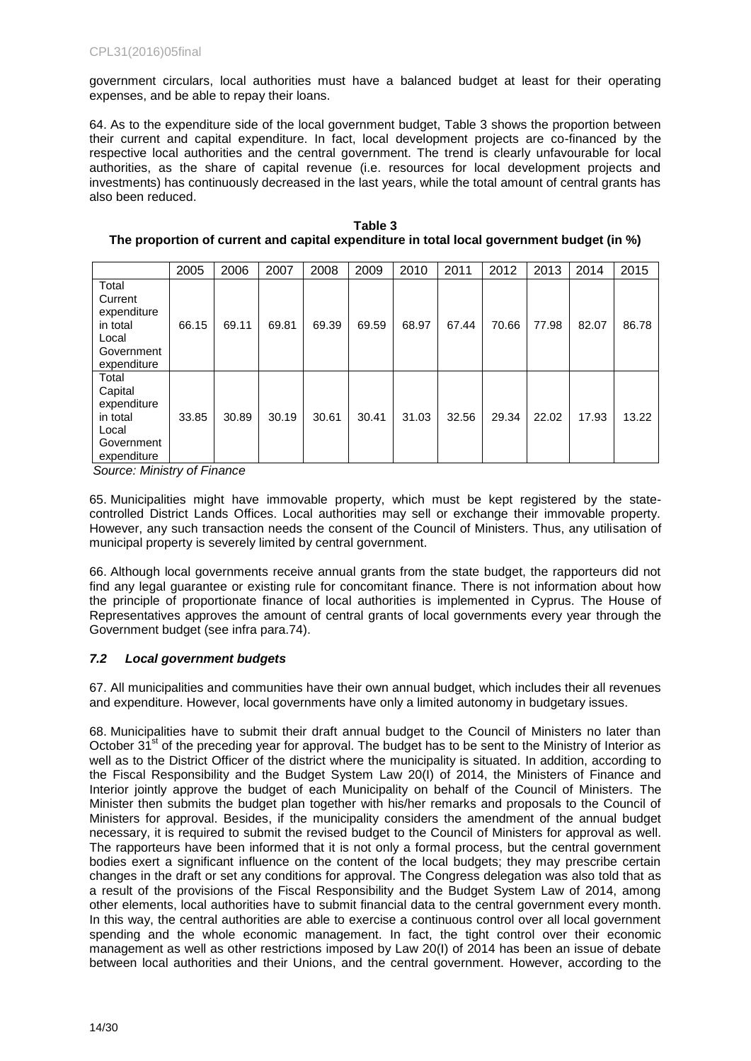government circulars, local authorities must have a balanced budget at least for their operating expenses, and be able to repay their loans.

64. As to the expenditure side of the local government budget, Table 3 shows the proportion between their current and capital expenditure. In fact, local development projects are co-financed by the respective local authorities and the central government. The trend is clearly unfavourable for local authorities, as the share of capital revenue (i.e. resources for local development projects and investments) has continuously decreased in the last years, while the total amount of central grants has also been reduced.

|                                                                                   |       |       |       |       |       | 2010  |       |       |       |       |       |
|-----------------------------------------------------------------------------------|-------|-------|-------|-------|-------|-------|-------|-------|-------|-------|-------|
|                                                                                   | 2005  | 2006  | 2007  | 2008  | 2009  |       | 2011  | 2012  | 2013  | 2014  | 2015  |
| Total<br>Current<br>expenditure<br>in total<br>Local<br>Government<br>expenditure | 66.15 | 69.11 | 69.81 | 69.39 | 69.59 | 68.97 | 67.44 | 70.66 | 77.98 | 82.07 | 86.78 |
| Total<br>Capital<br>expenditure<br>in total<br>Local<br>Government<br>expenditure | 33.85 | 30.89 | 30.19 | 30.61 | 30.41 | 31.03 | 32.56 | 29.34 | 22.02 | 17.93 | 13.22 |

**Table 3 The proportion of current and capital expenditure in total local government budget (in %)** 

*Source: Ministry of Finance* 

65. Municipalities might have immovable property, which must be kept registered by the statecontrolled District Lands Offices. Local authorities may sell or exchange their immovable property. However, any such transaction needs the consent of the Council of Ministers. Thus, any utilisation of municipal property is severely limited by central government.

66. Although local governments receive annual grants from the state budget, the rapporteurs did not find any legal guarantee or existing rule for concomitant finance. There is not information about how the principle of proportionate finance of local authorities is implemented in Cyprus. The House of Representatives approves the amount of central grants of local governments every year through the Government budget (see infra para.74).

### <span id="page-13-0"></span>*7.2 Local government budgets*

67. All municipalities and communities have their own annual budget, which includes their all revenues and expenditure. However, local governments have only a limited autonomy in budgetary issues.

68. Municipalities have to submit their draft annual budget to the Council of Ministers no later than October  $31<sup>st</sup>$  of the preceding year for approval. The budget has to be sent to the Ministry of Interior as well as to the District Officer of the district where the municipality is situated. In addition, according to the Fiscal Responsibility and the Budget System Law 20(I) of 2014, the Ministers of Finance and Interior jointly approve the budget of each Municipality on behalf of the Council of Ministers. The Minister then submits the budget plan together with his/her remarks and proposals to the Council of Ministers for approval. Besides, if the municipality considers the amendment of the annual budget necessary, it is required to submit the revised budget to the Council of Ministers for approval as well. The rapporteurs have been informed that it is not only a formal process, but the central government bodies exert a significant influence on the content of the local budgets; they may prescribe certain changes in the draft or set any conditions for approval. The Congress delegation was also told that as a result of the provisions of the Fiscal Responsibility and the Budget System Law of 2014, among other elements, local authorities have to submit financial data to the central government every month. In this way, the central authorities are able to exercise a continuous control over all local government spending and the whole economic management. In fact, the tight control over their economic management as well as other restrictions imposed by Law 20(I) of 2014 has been an issue of debate between local authorities and their Unions, and the central government. However, according to the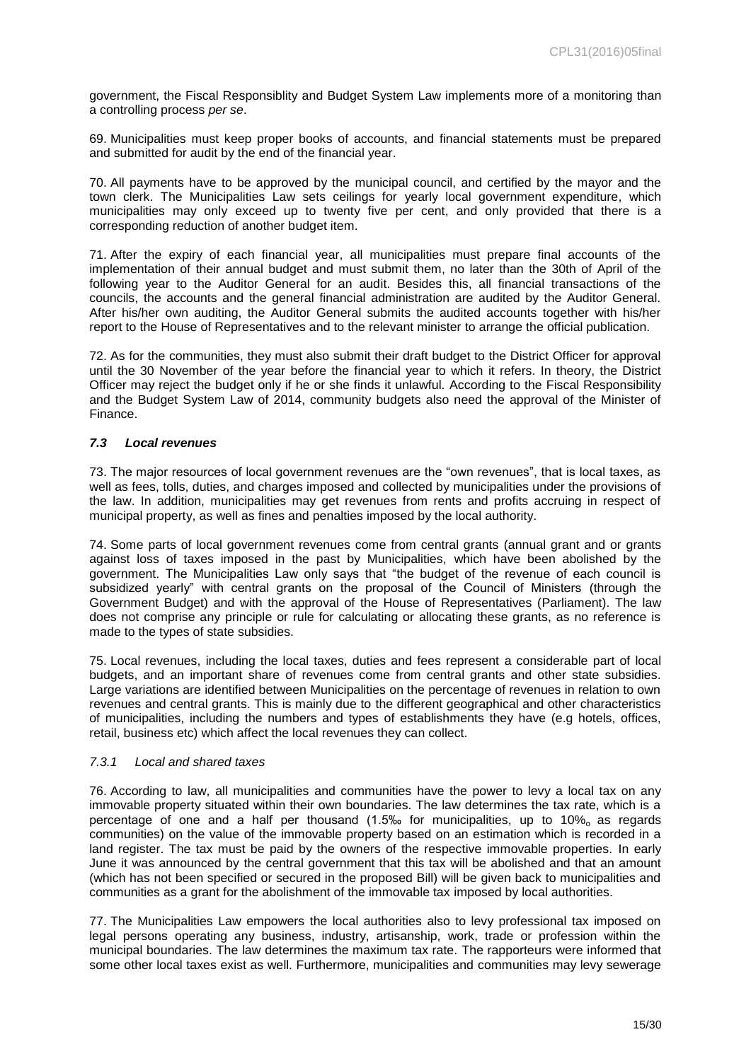government, the Fiscal Responsiblity and Budget System Law implements more of a monitoring than a controlling process *per se*.

69. Municipalities must keep proper books of accounts, and financial statements must be prepared and submitted for audit by the end of the financial year.

70. All payments have to be approved by the municipal council, and certified by the mayor and the town clerk. The Municipalities Law sets ceilings for yearly local government expenditure, which municipalities may only exceed up to twenty five per cent, and only provided that there is a corresponding reduction of another budget item.

71. After the expiry of each financial year, all municipalities must prepare final accounts of the implementation of their annual budget and must submit them, no later than the 30th of April of the following year to the Auditor General for an audit. Besides this, all financial transactions of the councils, the accounts and the general financial administration are audited by the Auditor General. After his/her own auditing, the Auditor General submits the audited accounts together with his/her report to the House of Representatives and to the relevant minister to arrange the official publication.

72. As for the communities, they must also submit their draft budget to the District Officer for approval until the 30 November of the year before the financial year to which it refers. In theory, the District Officer may reject the budget only if he or she finds it unlawful. According to the Fiscal Responsibility and the Budget System Law of 2014, community budgets also need the approval of the Minister of Finance.

### <span id="page-14-0"></span>*7.3 Local revenues*

73. The major resources of local government revenues are the "own revenues", that is local taxes, as well as fees, tolls, duties, and charges imposed and collected by municipalities under the provisions of the law. In addition, municipalities may get revenues from rents and profits accruing in respect of municipal property, as well as fines and penalties imposed by the local authority.

74. Some parts of local government revenues come from central grants (annual grant and or grants against loss of taxes imposed in the past by Municipalities, which have been abolished by the government. The Municipalities Law only says that "the budget of the revenue of each council is subsidized yearly" with central grants on the proposal of the Council of Ministers (through the Government Budget) and with the approval of the House of Representatives (Parliament). The law does not comprise any principle or rule for calculating or allocating these grants, as no reference is made to the types of state subsidies.

75. Local revenues, including the local taxes, duties and fees represent a considerable part of local budgets, and an important share of revenues come from central grants and other state subsidies. Large variations are identified between Municipalities on the percentage of revenues in relation to own revenues and central grants. This is mainly due to the different geographical and other characteristics of municipalities, including the numbers and types of establishments they have (e.g hotels, offices, retail, business etc) which affect the local revenues they can collect.

### <span id="page-14-1"></span>*7.3.1 Local and shared taxes*

76. According to law, all municipalities and communities have the power to levy a local tax on any immovable property situated within their own boundaries. The law determines the tax rate, which is a percentage of one and a half per thousand  $(1.5\%$  for municipalities, up to  $10\%$  as regards communities) on the value of the immovable property based on an estimation which is recorded in a land register. The tax must be paid by the owners of the respective immovable properties. In early June it was announced by the central government that this tax will be abolished and that an amount (which has not been specified or secured in the proposed Bill) will be given back to municipalities and communities as a grant for the abolishment of the immovable tax imposed by local authorities.

77. The Municipalities Law empowers the local authorities also to levy professional tax imposed on legal persons operating any business, industry, artisanship, work, trade or profession within the municipal boundaries. The law determines the maximum tax rate. The rapporteurs were informed that some other local taxes exist as well. Furthermore, municipalities and communities may levy sewerage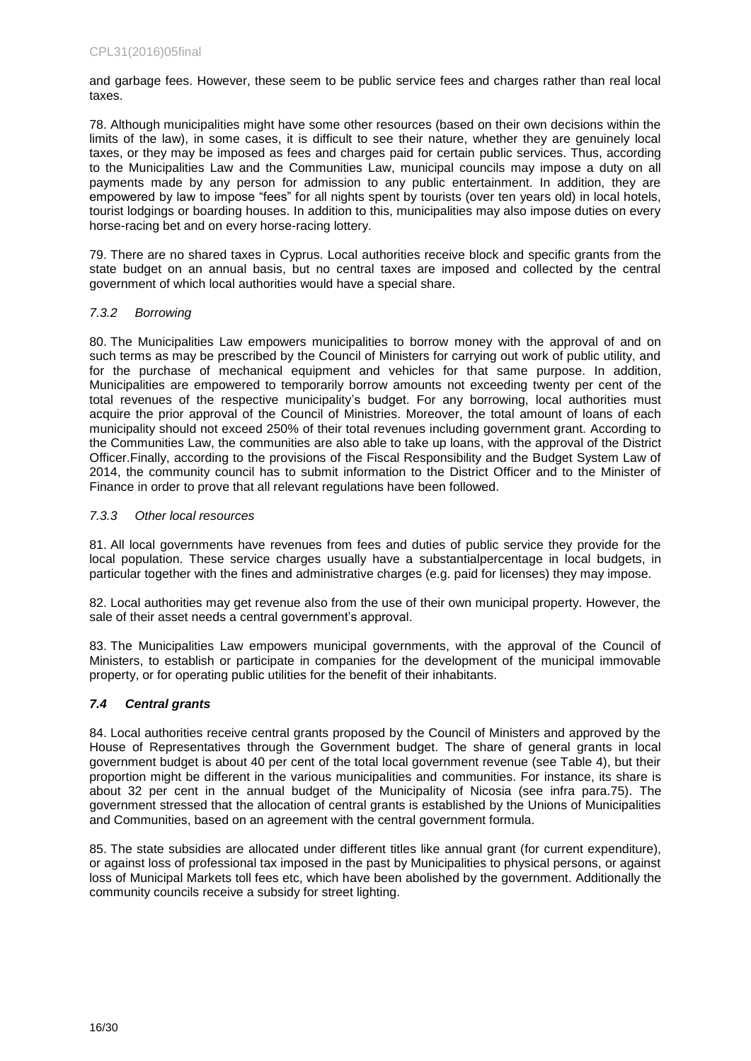and garbage fees. However, these seem to be public service fees and charges rather than real local taxes.

78. Although municipalities might have some other resources (based on their own decisions within the limits of the law), in some cases, it is difficult to see their nature, whether they are genuinely local taxes, or they may be imposed as fees and charges paid for certain public services. Thus, according to the Municipalities Law and the Communities Law, municipal councils may impose a duty on all payments made by any person for admission to any public entertainment. In addition, they are empowered by law to impose "fees" for all nights spent by tourists (over ten years old) in local hotels, tourist lodgings or boarding houses. In addition to this, municipalities may also impose duties on every horse-racing bet and on every horse-racing lottery.

79. There are no shared taxes in Cyprus. Local authorities receive block and specific grants from the state budget on an annual basis, but no central taxes are imposed and collected by the central government of which local authorities would have a special share.

### <span id="page-15-0"></span>*7.3.2 Borrowing*

80. The Municipalities Law empowers municipalities to borrow money with the approval of and on such terms as may be prescribed by the Council of Ministers for carrying out work of public utility, and for the purchase of mechanical equipment and vehicles for that same purpose. In addition, Municipalities are empowered to temporarily borrow amounts not exceeding twenty per cent of the total revenues of the respective municipality's budget. For any borrowing, local authorities must acquire the prior approval of the Council of Ministries. Moreover, the total amount of loans of each municipality should not exceed 250% of their total revenues including government grant. According to the Communities Law, the communities are also able to take up loans, with the approval of the District Officer.Finally, according to the provisions of the Fiscal Responsibility and the Budget System Law of 2014, the community council has to submit information to the District Officer and to the Minister of Finance in order to prove that all relevant regulations have been followed.

### <span id="page-15-1"></span>*7.3.3 Other local resources*

81. All local governments have revenues from fees and duties of public service they provide for the local population. These service charges usually have a substantialpercentage in local budgets, in particular together with the fines and administrative charges (e.g. paid for licenses) they may impose.

82. Local authorities may get revenue also from the use of their own municipal property. However, the sale of their asset needs a central government's approval.

83. The Municipalities Law empowers municipal governments, with the approval of the Council of Ministers, to establish or participate in companies for the development of the municipal immovable property, or for operating public utilities for the benefit of their inhabitants.

### <span id="page-15-2"></span>*7.4 Central grants*

84. Local authorities receive central grants proposed by the Council of Ministers and approved by the House of Representatives through the Government budget. The share of general grants in local government budget is about 40 per cent of the total local government revenue (see Table 4), but their proportion might be different in the various municipalities and communities. For instance, its share is about 32 per cent in the annual budget of the Municipality of Nicosia (see infra para.75). The government stressed that the allocation of central grants is established by the Unions of Municipalities and Communities, based on an agreement with the central government formula.

85. The state subsidies are allocated under different titles like annual grant (for current expenditure), or against loss of professional tax imposed in the past by Municipalities to physical persons, or against loss of Municipal Markets toll fees etc, which have been abolished by the government. Additionally the community councils receive a subsidy for street lighting.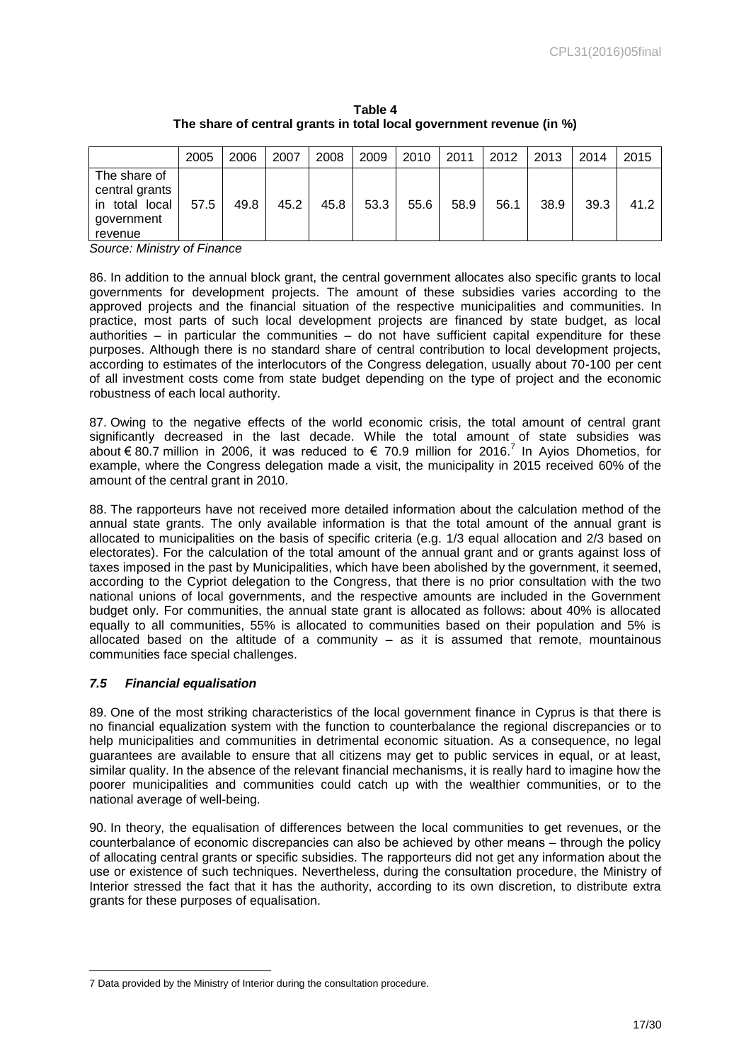|                                                                              | 2005 | 2006 | 2007 | 2008 | 2009 | 2010 | 2011 | 2012 | 2013 | 2014 | 2015 |
|------------------------------------------------------------------------------|------|------|------|------|------|------|------|------|------|------|------|
| The share of<br>central grants<br>total local<br>ın<br>government<br>revenue | 57.5 | 49.8 | 45.2 | 45.8 | 53.3 | 55.6 | 58.9 | 56.1 | 38.9 | 39.3 | 41.2 |

**Table 4 The share of central grants in total local government revenue (in %)** 

*Source: Ministry of Finance* 

86. In addition to the annual block grant, the central government allocates also specific grants to local governments for development projects. The amount of these subsidies varies according to the approved projects and the financial situation of the respective municipalities and communities. In practice, most parts of such local development projects are financed by state budget, as local authorities – in particular the communities – do not have sufficient capital expenditure for these purposes. Although there is no standard share of central contribution to local development projects, according to estimates of the interlocutors of the Congress delegation, usually about 70-100 per cent of all investment costs come from state budget depending on the type of project and the economic robustness of each local authority.

87. Owing to the negative effects of the world economic crisis, the total amount of central grant significantly decreased in the last decade. While the total amount of state subsidies was about € 80.7 million in 2006, it was reduced to € 70.9 million for 2016.<sup>7</sup> In Ayios Dhometios, for example, where the Congress delegation made a visit, the municipality in 2015 received 60% of the amount of the central grant in 2010.

88. The rapporteurs have not received more detailed information about the calculation method of the annual state grants. The only available information is that the total amount of the annual grant is allocated to municipalities on the basis of specific criteria (e.g. 1/3 equal allocation and 2/3 based on electorates). For the calculation of the total amount of the annual grant and or grants against loss of taxes imposed in the past by Municipalities, which have been abolished by the government, it seemed, according to the Cypriot delegation to the Congress, that there is no prior consultation with the two national unions of local governments, and the respective amounts are included in the Government budget only. For communities, the annual state grant is allocated as follows: about 40% is allocated equally to all communities, 55% is allocated to communities based on their population and 5% is allocated based on the altitude of a community  $-$  as it is assumed that remote, mountainous communities face special challenges.

### <span id="page-16-0"></span>*7.5 Financial equalisation*

89. One of the most striking characteristics of the local government finance in Cyprus is that there is no financial equalization system with the function to counterbalance the regional discrepancies or to help municipalities and communities in detrimental economic situation. As a consequence, no legal guarantees are available to ensure that all citizens may get to public services in equal, or at least, similar quality. In the absence of the relevant financial mechanisms, it is really hard to imagine how the poorer municipalities and communities could catch up with the wealthier communities, or to the national average of well-being.

90. In theory, the equalisation of differences between the local communities to get revenues, or the counterbalance of economic discrepancies can also be achieved by other means – through the policy of allocating central grants or specific subsidies. The rapporteurs did not get any information about the use or existence of such techniques. Nevertheless, during the consultation procedure, the Ministry of Interior stressed the fact that it has the authority, according to its own discretion, to distribute extra grants for these purposes of equalisation.

 7 Data provided by the Ministry of Interior during the consultation procedure.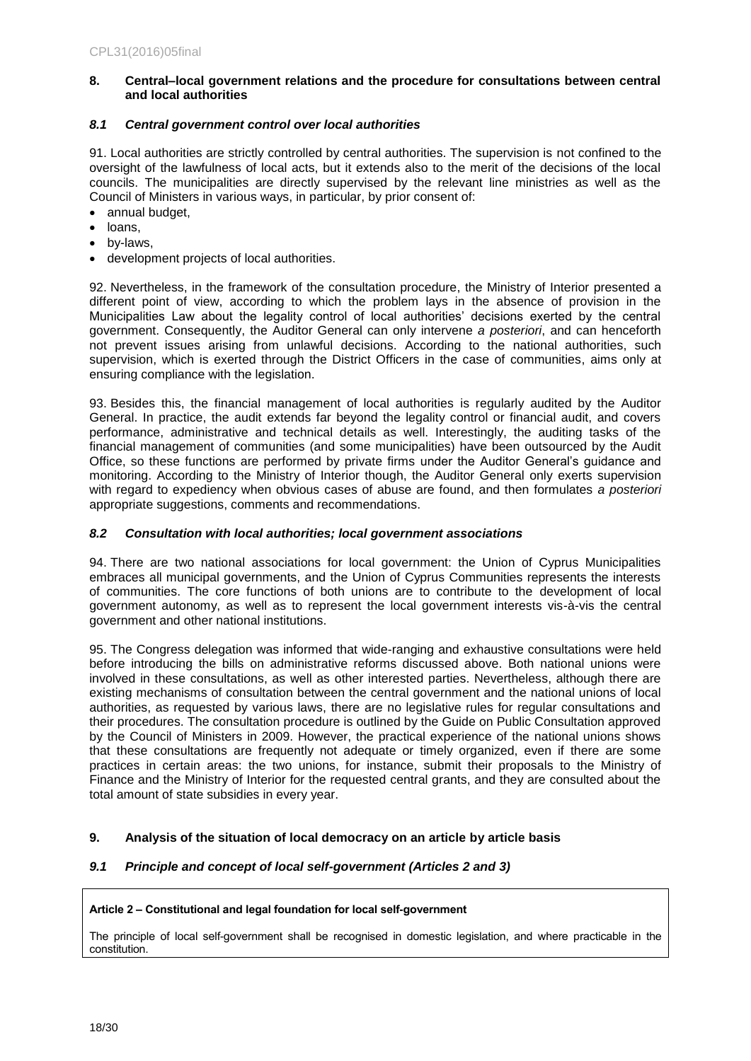### <span id="page-17-0"></span>**8. Central–local government relations and the procedure for consultations between central and local authorities**

### <span id="page-17-1"></span>*8.1 Central government control over local authorities*

91. Local authorities are strictly controlled by central authorities. The supervision is not confined to the oversight of the lawfulness of local acts, but it extends also to the merit of the decisions of the local councils. The municipalities are directly supervised by the relevant line ministries as well as the Council of Ministers in various ways, in particular, by prior consent of:

- annual budget,
- loans,
- by-laws,
- development projects of local authorities.

92. Nevertheless, in the framework of the consultation procedure, the Ministry of Interior presented a different point of view, according to which the problem lays in the absence of provision in the Municipalities Law about the legality control of local authorities' decisions exerted by the central government. Consequently, the Auditor General can only intervene *a posteriori*, and can henceforth not prevent issues arising from unlawful decisions. According to the national authorities, such supervision, which is exerted through the District Officers in the case of communities, aims only at ensuring compliance with the legislation.

93. Besides this, the financial management of local authorities is regularly audited by the Auditor General. In practice, the audit extends far beyond the legality control or financial audit, and covers performance, administrative and technical details as well. Interestingly, the auditing tasks of the financial management of communities (and some municipalities) have been outsourced by the Audit Office, so these functions are performed by private firms under the Auditor General's guidance and monitoring. According to the Ministry of Interior though, the Auditor General only exerts supervision with regard to expediency when obvious cases of abuse are found, and then formulates *a posteriori* appropriate suggestions, comments and recommendations.

### <span id="page-17-2"></span>*8.2 Consultation with local authorities; local government associations*

94. There are two national associations for local government: the Union of Cyprus Municipalities embraces all municipal governments, and the Union of Cyprus Communities represents the interests of communities. The core functions of both unions are to contribute to the development of local government autonomy, as well as to represent the local government interests vis-à-vis the central government and other national institutions.

95. The Congress delegation was informed that wide-ranging and exhaustive consultations were held before introducing the bills on administrative reforms discussed above. Both national unions were involved in these consultations, as well as other interested parties. Nevertheless, although there are existing mechanisms of consultation between the central government and the national unions of local authorities, as requested by various laws, there are no legislative rules for regular consultations and their procedures. The consultation procedure is outlined by the Guide on Public Consultation approved by the Council of Ministers in 2009. However, the practical experience of the national unions shows that these consultations are frequently not adequate or timely organized, even if there are some practices in certain areas: the two unions, for instance, submit their proposals to the Ministry of Finance and the Ministry of Interior for the requested central grants, and they are consulted about the total amount of state subsidies in every year.

### <span id="page-17-3"></span>**9. Analysis of the situation of local democracy on an article by article basis**

### <span id="page-17-4"></span>*9.1 Principle and concept of local self-government (Articles 2 and 3)*

### **Article 2 – Constitutional and legal foundation for local self-government**

The principle of local self-government shall be recognised in domestic legislation, and where practicable in the constitution.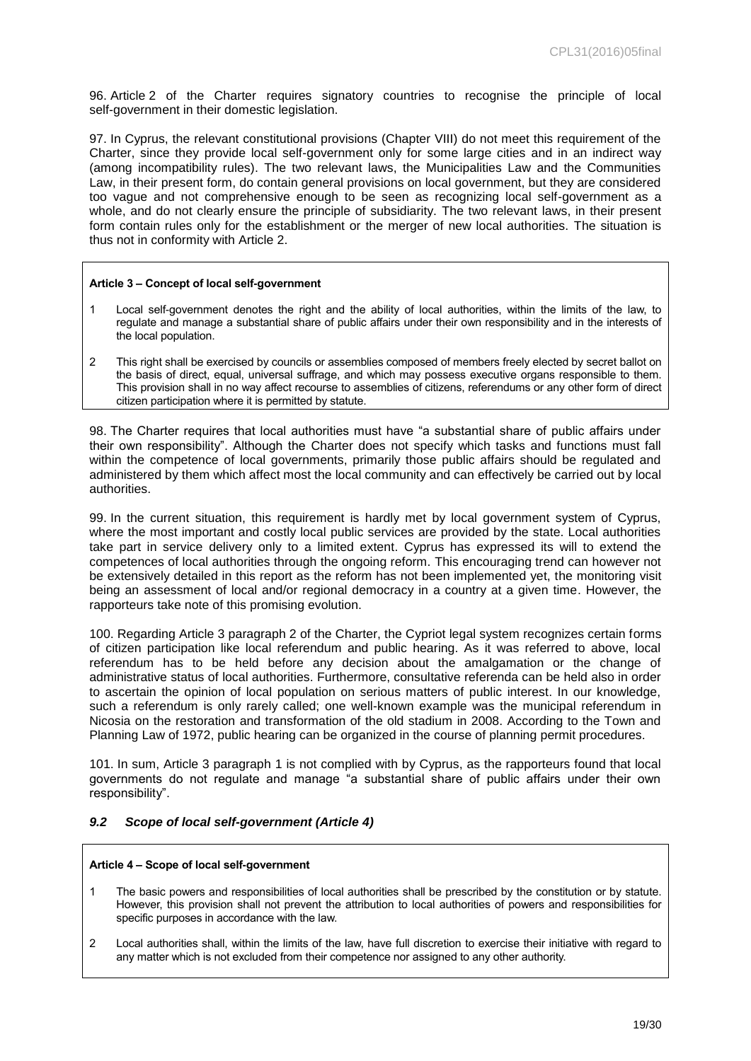96. Article 2 of the Charter requires signatory countries to recognise the principle of local self-government in their domestic legislation.

97. In Cyprus, the relevant constitutional provisions (Chapter VIII) do not meet this requirement of the Charter, since they provide local self-government only for some large cities and in an indirect way (among incompatibility rules). The two relevant laws, the Municipalities Law and the Communities Law, in their present form, do contain general provisions on local government, but they are considered too vague and not comprehensive enough to be seen as recognizing local self-government as a whole, and do not clearly ensure the principle of subsidiarity. The two relevant laws, in their present form contain rules only for the establishment or the merger of new local authorities. The situation is thus not in conformity with Article 2.

#### **Article 3 – Concept of local self-government**

- 1 Local self-government denotes the right and the ability of local authorities, within the limits of the law, to regulate and manage a substantial share of public affairs under their own responsibility and in the interests of the local population.
- 2 This right shall be exercised by councils or assemblies composed of members freely elected by secret ballot on the basis of direct, equal, universal suffrage, and which may possess executive organs responsible to them. This provision shall in no way affect recourse to assemblies of citizens, referendums or any other form of direct citizen participation where it is permitted by statute.

98. The Charter requires that local authorities must have "a substantial share of public affairs under their own responsibility". Although the Charter does not specify which tasks and functions must fall within the competence of local governments, primarily those public affairs should be regulated and administered by them which affect most the local community and can effectively be carried out by local authorities.

99. In the current situation, this requirement is hardly met by local government system of Cyprus, where the most important and costly local public services are provided by the state. Local authorities take part in service delivery only to a limited extent. Cyprus has expressed its will to extend the competences of local authorities through the ongoing reform. This encouraging trend can however not be extensively detailed in this report as the reform has not been implemented yet, the monitoring visit being an assessment of local and/or regional democracy in a country at a given time. However, the rapporteurs take note of this promising evolution.

100. Regarding Article 3 paragraph 2 of the Charter, the Cypriot legal system recognizes certain forms of citizen participation like local referendum and public hearing. As it was referred to above, local referendum has to be held before any decision about the amalgamation or the change of administrative status of local authorities. Furthermore, consultative referenda can be held also in order to ascertain the opinion of local population on serious matters of public interest. In our knowledge, such a referendum is only rarely called; one well-known example was the municipal referendum in Nicosia on the restoration and transformation of the old stadium in 2008. According to the Town and Planning Law of 1972, public hearing can be organized in the course of planning permit procedures.

101. In sum, Article 3 paragraph 1 is not complied with by Cyprus, as the rapporteurs found that local governments do not regulate and manage "a substantial share of public affairs under their own responsibility".

### <span id="page-18-0"></span>*9.2 Scope of local self-government (Article 4)*

#### **Article 4 – Scope of local self-government**

- 1 The basic powers and responsibilities of local authorities shall be prescribed by the constitution or by statute. However, this provision shall not prevent the attribution to local authorities of powers and responsibilities for specific purposes in accordance with the law.
- 2 Local authorities shall, within the limits of the law, have full discretion to exercise their initiative with regard to any matter which is not excluded from their competence nor assigned to any other authority.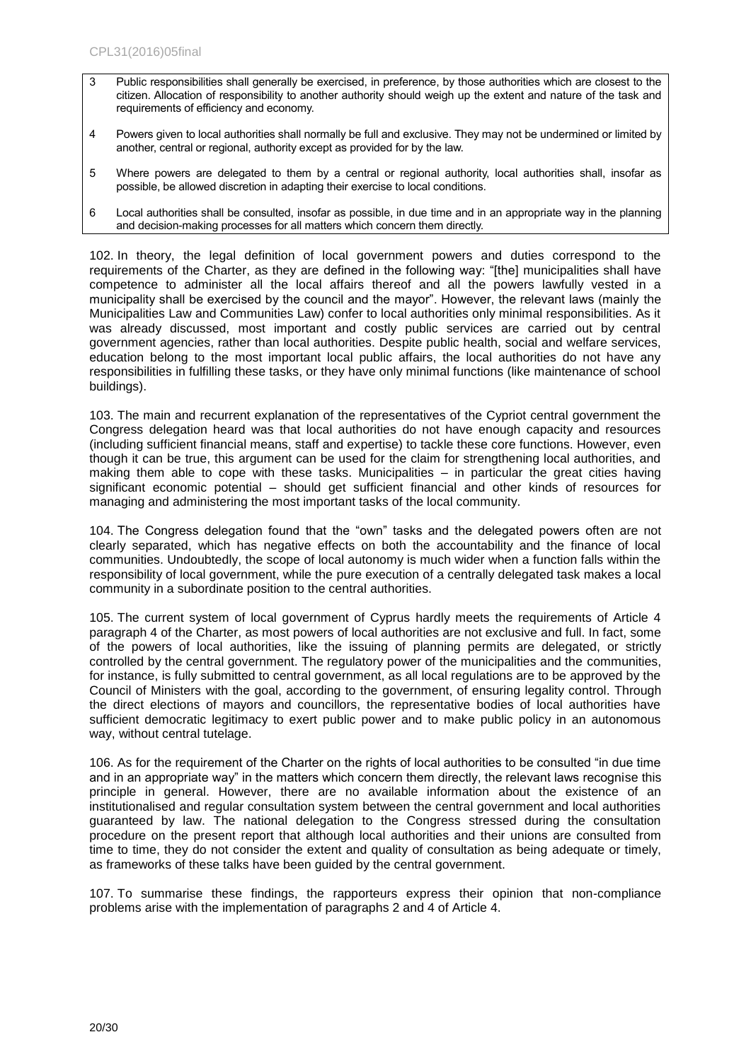- 3 Public responsibilities shall generally be exercised, in preference, by those authorities which are closest to the citizen. Allocation of responsibility to another authority should weigh up the extent and nature of the task and requirements of efficiency and economy.
- 4 Powers given to local authorities shall normally be full and exclusive. They may not be undermined or limited by another, central or regional, authority except as provided for by the law.
- 5 Where powers are delegated to them by a central or regional authority, local authorities shall, insofar as possible, be allowed discretion in adapting their exercise to local conditions.
- 6 Local authorities shall be consulted, insofar as possible, in due time and in an appropriate way in the planning and decision-making processes for all matters which concern them directly.

102. In theory, the legal definition of local government powers and duties correspond to the requirements of the Charter, as they are defined in the following way: "[the] municipalities shall have competence to administer all the local affairs thereof and all the powers lawfully vested in a municipality shall be exercised by the council and the mayor". However, the relevant laws (mainly the Municipalities Law and Communities Law) confer to local authorities only minimal responsibilities. As it was already discussed, most important and costly public services are carried out by central government agencies, rather than local authorities. Despite public health, social and welfare services, education belong to the most important local public affairs, the local authorities do not have any responsibilities in fulfilling these tasks, or they have only minimal functions (like maintenance of school buildings).

103. The main and recurrent explanation of the representatives of the Cypriot central government the Congress delegation heard was that local authorities do not have enough capacity and resources (including sufficient financial means, staff and expertise) to tackle these core functions. However, even though it can be true, this argument can be used for the claim for strengthening local authorities, and making them able to cope with these tasks. Municipalities – in particular the great cities having significant economic potential – should get sufficient financial and other kinds of resources for managing and administering the most important tasks of the local community.

104. The Congress delegation found that the "own" tasks and the delegated powers often are not clearly separated, which has negative effects on both the accountability and the finance of local communities. Undoubtedly, the scope of local autonomy is much wider when a function falls within the responsibility of local government, while the pure execution of a centrally delegated task makes a local community in a subordinate position to the central authorities.

105. The current system of local government of Cyprus hardly meets the requirements of Article 4 paragraph 4 of the Charter, as most powers of local authorities are not exclusive and full. In fact, some of the powers of local authorities, like the issuing of planning permits are delegated, or strictly controlled by the central government. The regulatory power of the municipalities and the communities, for instance, is fully submitted to central government, as all local regulations are to be approved by the Council of Ministers with the goal, according to the government, of ensuring legality control. Through the direct elections of mayors and councillors, the representative bodies of local authorities have sufficient democratic legitimacy to exert public power and to make public policy in an autonomous way, without central tutelage.

106. As for the requirement of the Charter on the rights of local authorities to be consulted "in due time and in an appropriate way" in the matters which concern them directly, the relevant laws recognise this principle in general. However, there are no available information about the existence of an institutionalised and regular consultation system between the central government and local authorities guaranteed by law. The national delegation to the Congress stressed during the consultation procedure on the present report that although local authorities and their unions are consulted from time to time, they do not consider the extent and quality of consultation as being adequate or timely, as frameworks of these talks have been guided by the central government.

107. To summarise these findings, the rapporteurs express their opinion that non-compliance problems arise with the implementation of paragraphs 2 and 4 of Article 4.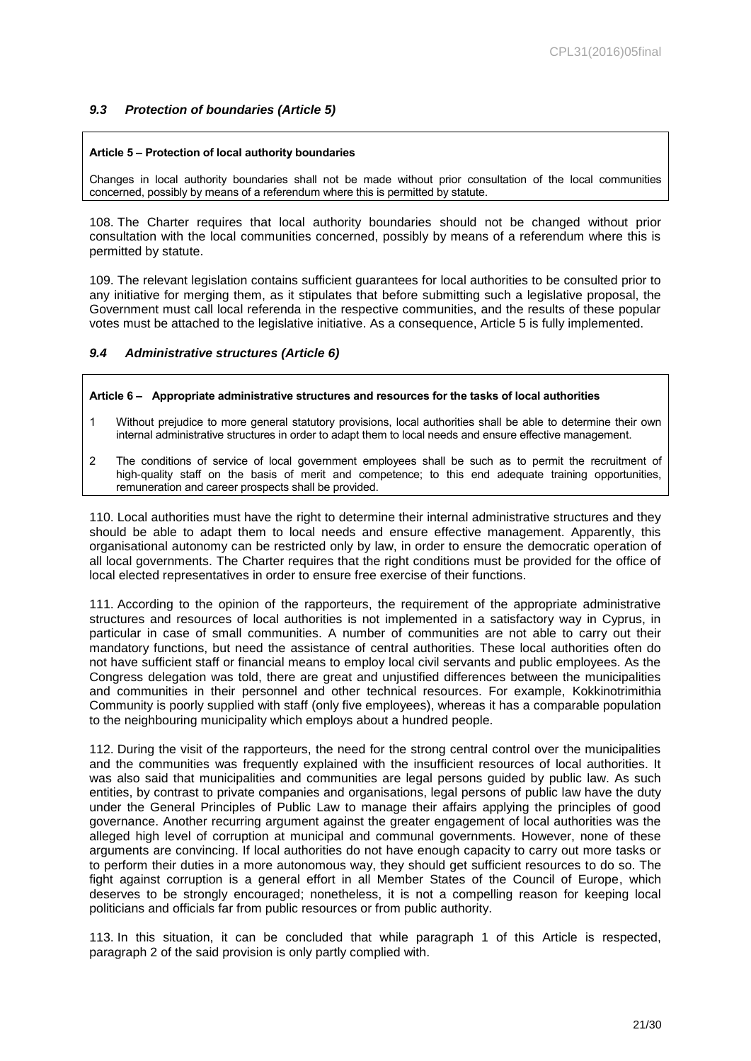### <span id="page-20-0"></span>*9.3 Protection of boundaries (Article 5)*

#### **Article 5 – Protection of local authority boundaries**

Changes in local authority boundaries shall not be made without prior consultation of the local communities concerned, possibly by means of a referendum where this is permitted by statute.

108. The Charter requires that local authority boundaries should not be changed without prior consultation with the local communities concerned, possibly by means of a referendum where this is permitted by statute.

109. The relevant legislation contains sufficient guarantees for local authorities to be consulted prior to any initiative for merging them, as it stipulates that before submitting such a legislative proposal, the Government must call local referenda in the respective communities, and the results of these popular votes must be attached to the legislative initiative. As a consequence, Article 5 is fully implemented.

### <span id="page-20-1"></span>*9.4 Administrative structures (Article 6)*

#### **Article 6 – Appropriate administrative structures and resources for the tasks of local authorities**

- 1 Without prejudice to more general statutory provisions, local authorities shall be able to determine their own internal administrative structures in order to adapt them to local needs and ensure effective management.
- 2 The conditions of service of local government employees shall be such as to permit the recruitment of high-quality staff on the basis of merit and competence; to this end adequate training opportunities, remuneration and career prospects shall be provided.

110. Local authorities must have the right to determine their internal administrative structures and they should be able to adapt them to local needs and ensure effective management. Apparently, this organisational autonomy can be restricted only by law, in order to ensure the democratic operation of all local governments. The Charter requires that the right conditions must be provided for the office of local elected representatives in order to ensure free exercise of their functions.

111. According to the opinion of the rapporteurs, the requirement of the appropriate administrative structures and resources of local authorities is not implemented in a satisfactory way in Cyprus, in particular in case of small communities. A number of communities are not able to carry out their mandatory functions, but need the assistance of central authorities. These local authorities often do not have sufficient staff or financial means to employ local civil servants and public employees. As the Congress delegation was told, there are great and unjustified differences between the municipalities and communities in their personnel and other technical resources. For example, Kokkinotrimithia Community is poorly supplied with staff (only five employees), whereas it has a comparable population to the neighbouring municipality which employs about a hundred people.

112. During the visit of the rapporteurs, the need for the strong central control over the municipalities and the communities was frequently explained with the insufficient resources of local authorities. It was also said that municipalities and communities are legal persons guided by public law. As such entities, by contrast to private companies and organisations, legal persons of public law have the duty under the General Principles of Public Law to manage their affairs applying the principles of good governance. Another recurring argument against the greater engagement of local authorities was the alleged high level of corruption at municipal and communal governments. However, none of these arguments are convincing. If local authorities do not have enough capacity to carry out more tasks or to perform their duties in a more autonomous way, they should get sufficient resources to do so. The fight against corruption is a general effort in all Member States of the Council of Europe, which deserves to be strongly encouraged; nonetheless, it is not a compelling reason for keeping local politicians and officials far from public resources or from public authority.

113. In this situation, it can be concluded that while paragraph 1 of this Article is respected, paragraph 2 of the said provision is only partly complied with.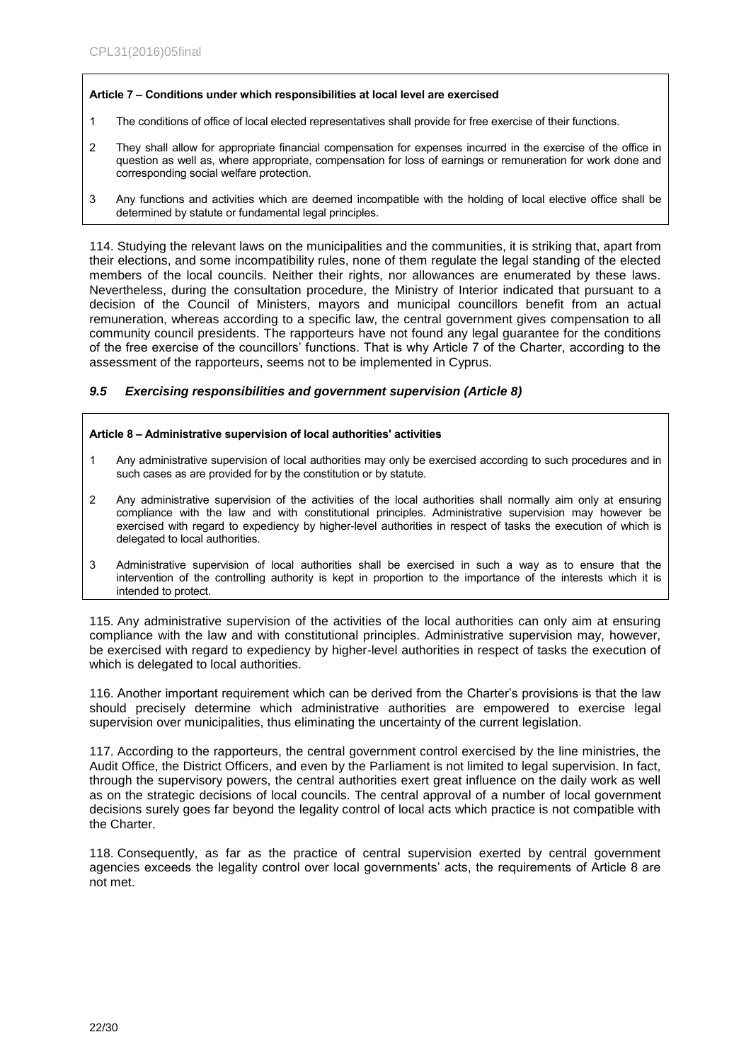### **Article 7 – Conditions under which responsibilities at local level are exercised**

- 1 The conditions of office of local elected representatives shall provide for free exercise of their functions.
- 2 They shall allow for appropriate financial compensation for expenses incurred in the exercise of the office in question as well as, where appropriate, compensation for loss of earnings or remuneration for work done and corresponding social welfare protection.
- 3 Any functions and activities which are deemed incompatible with the holding of local elective office shall be determined by statute or fundamental legal principles.

114. Studying the relevant laws on the municipalities and the communities, it is striking that, apart from their elections, and some incompatibility rules, none of them regulate the legal standing of the elected members of the local councils. Neither their rights, nor allowances are enumerated by these laws. Nevertheless, during the consultation procedure, the Ministry of Interior indicated that pursuant to a decision of the Council of Ministers, mayors and municipal councillors benefit from an actual remuneration, whereas according to a specific law, the central government gives compensation to all community council presidents. The rapporteurs have not found any legal guarantee for the conditions of the free exercise of the councillors' functions. That is why Article 7 of the Charter, according to the assessment of the rapporteurs, seems not to be implemented in Cyprus.

### <span id="page-21-0"></span>*9.5 Exercising responsibilities and government supervision (Article 8)*

#### **Article 8 – Administrative supervision of local authorities' activities**

- 1 Any administrative supervision of local authorities may only be exercised according to such procedures and in such cases as are provided for by the constitution or by statute.
- 2 Any administrative supervision of the activities of the local authorities shall normally aim only at ensuring compliance with the law and with constitutional principles. Administrative supervision may however be exercised with regard to expediency by higher-level authorities in respect of tasks the execution of which is delegated to local authorities.
- 3 Administrative supervision of local authorities shall be exercised in such a way as to ensure that the intervention of the controlling authority is kept in proportion to the importance of the interests which it is intended to protect.

115. Any administrative supervision of the activities of the local authorities can only aim at ensuring compliance with the law and with constitutional principles. Administrative supervision may, however, be exercised with regard to expediency by higher-level authorities in respect of tasks the execution of which is delegated to local authorities.

116. Another important requirement which can be derived from the Charter's provisions is that the law should precisely determine which administrative authorities are empowered to exercise legal supervision over municipalities, thus eliminating the uncertainty of the current legislation.

117. According to the rapporteurs, the central government control exercised by the line ministries, the Audit Office, the District Officers, and even by the Parliament is not limited to legal supervision. In fact, through the supervisory powers, the central authorities exert great influence on the daily work as well as on the strategic decisions of local councils. The central approval of a number of local government decisions surely goes far beyond the legality control of local acts which practice is not compatible with the Charter.

118. Consequently, as far as the practice of central supervision exerted by central government agencies exceeds the legality control over local governments' acts, the requirements of Article 8 are not met.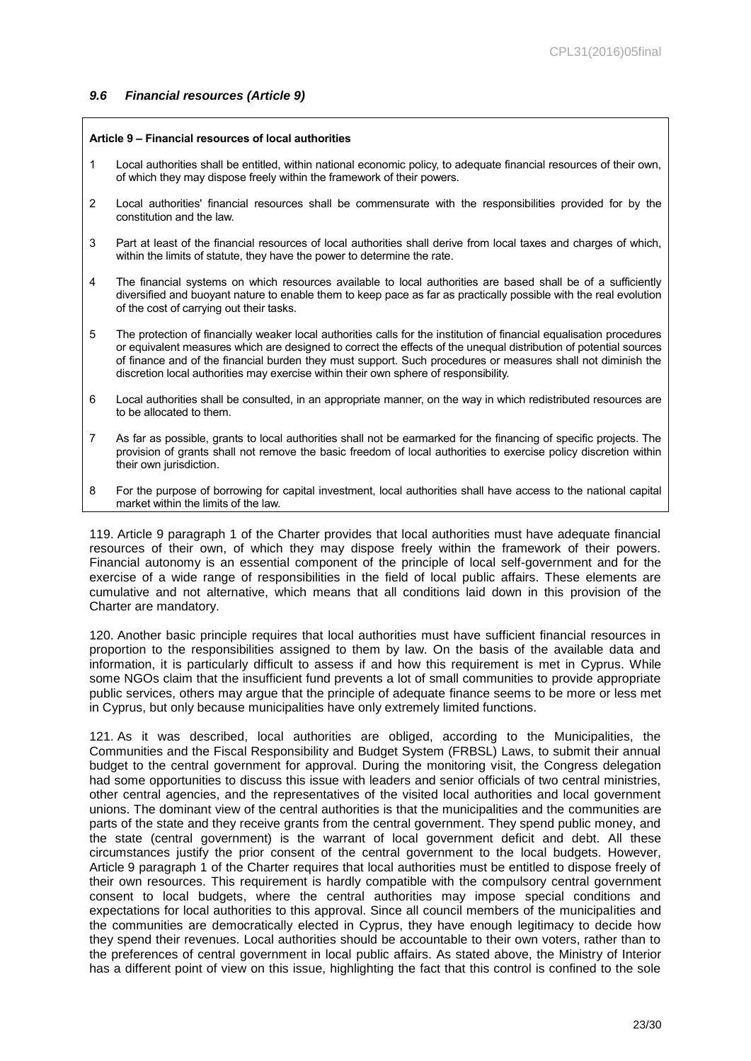### <span id="page-22-0"></span>*9.6 Financial resources (Article 9)*

#### **Article 9 – Financial resources of local authorities**

- 1 Local authorities shall be entitled, within national economic policy, to adequate financial resources of their own, of which they may dispose freely within the framework of their powers.
- 2 Local authorities' financial resources shall be commensurate with the responsibilities provided for by the constitution and the law.
- 3 Part at least of the financial resources of local authorities shall derive from local taxes and charges of which, within the limits of statute, they have the power to determine the rate.
- 4 The financial systems on which resources available to local authorities are based shall be of a sufficiently diversified and buoyant nature to enable them to keep pace as far as practically possible with the real evolution of the cost of carrying out their tasks.
- 5 The protection of financially weaker local authorities calls for the institution of financial equalisation procedures or equivalent measures which are designed to correct the effects of the unequal distribution of potential sources of finance and of the financial burden they must support. Such procedures or measures shall not diminish the discretion local authorities may exercise within their own sphere of responsibility.
- 6 Local authorities shall be consulted, in an appropriate manner, on the way in which redistributed resources are to be allocated to them.
- 7 As far as possible, grants to local authorities shall not be earmarked for the financing of specific projects. The provision of grants shall not remove the basic freedom of local authorities to exercise policy discretion within their own jurisdiction.
- 8 For the purpose of borrowing for capital investment, local authorities shall have access to the national capital market within the limits of the law.

119. Article 9 paragraph 1 of the Charter provides that local authorities must have adequate financial resources of their own, of which they may dispose freely within the framework of their powers. Financial autonomy is an essential component of the principle of local self-government and for the exercise of a wide range of responsibilities in the field of local public affairs. These elements are cumulative and not alternative, which means that all conditions laid down in this provision of the Charter are mandatory.

120. Another basic principle requires that local authorities must have sufficient financial resources in proportion to the responsibilities assigned to them by law. On the basis of the available data and information, it is particularly difficult to assess if and how this requirement is met in Cyprus. While some NGOs claim that the insufficient fund prevents a lot of small communities to provide appropriate public services, others may argue that the principle of adequate finance seems to be more or less met in Cyprus, but only because municipalities have only extremely limited functions.

121. As it was described, local authorities are obliged, according to the Municipalities, the Communities and the Fiscal Responsibility and Budget System (FRBSL) Laws, to submit their annual budget to the central government for approval. During the monitoring visit, the Congress delegation had some opportunities to discuss this issue with leaders and senior officials of two central ministries, other central agencies, and the representatives of the visited local authorities and local government unions. The dominant view of the central authorities is that the municipalities and the communities are parts of the state and they receive grants from the central government. They spend public money, and the state (central government) is the warrant of local government deficit and debt. All these circumstances justify the prior consent of the central government to the local budgets. However, Article 9 paragraph 1 of the Charter requires that local authorities must be entitled to dispose freely of their own resources. This requirement is hardly compatible with the compulsory central government consent to local budgets, where the central authorities may impose special conditions and expectations for local authorities to this approval. Since all council members of the municipalities and the communities are democratically elected in Cyprus, they have enough legitimacy to decide how they spend their revenues. Local authorities should be accountable to their own voters, rather than to the preferences of central government in local public affairs. As stated above, the Ministry of Interior has a different point of view on this issue, highlighting the fact that this control is confined to the sole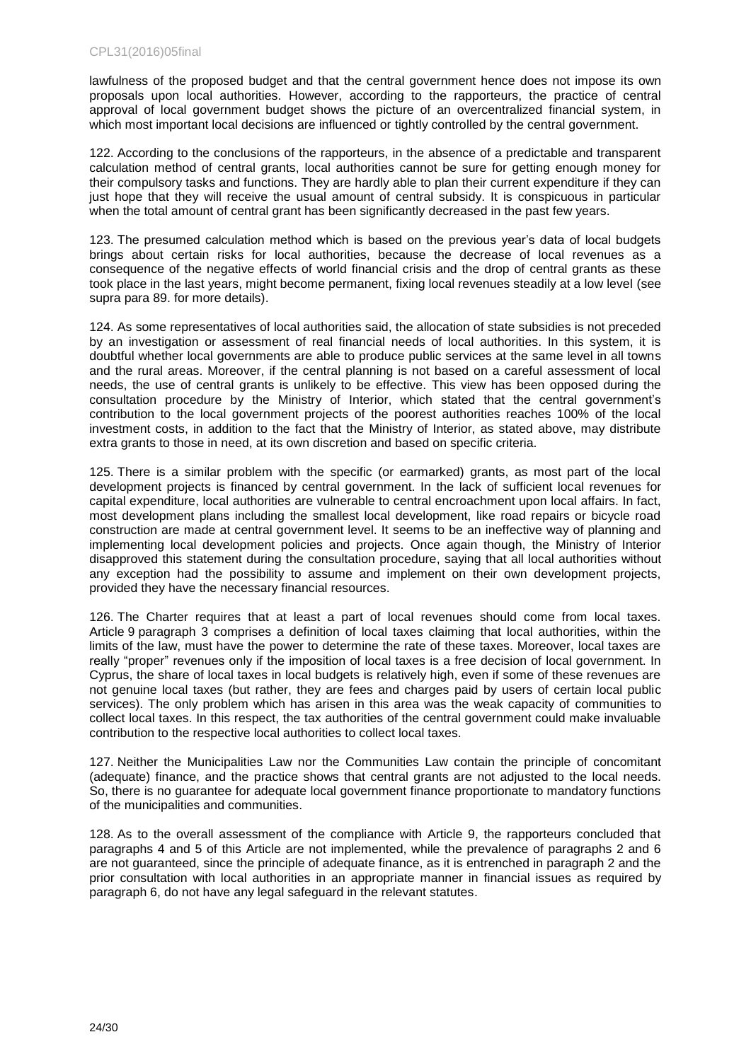lawfulness of the proposed budget and that the central government hence does not impose its own proposals upon local authorities. However, according to the rapporteurs, the practice of central approval of local government budget shows the picture of an overcentralized financial system, in which most important local decisions are influenced or tightly controlled by the central government.

122. According to the conclusions of the rapporteurs, in the absence of a predictable and transparent calculation method of central grants, local authorities cannot be sure for getting enough money for their compulsory tasks and functions. They are hardly able to plan their current expenditure if they can just hope that they will receive the usual amount of central subsidy. It is conspicuous in particular when the total amount of central grant has been significantly decreased in the past few years.

123. The presumed calculation method which is based on the previous year's data of local budgets brings about certain risks for local authorities, because the decrease of local revenues as a consequence of the negative effects of world financial crisis and the drop of central grants as these took place in the last years, might become permanent, fixing local revenues steadily at a low level (see supra para 89. for more details).

124. As some representatives of local authorities said, the allocation of state subsidies is not preceded by an investigation or assessment of real financial needs of local authorities. In this system, it is doubtful whether local governments are able to produce public services at the same level in all towns and the rural areas. Moreover, if the central planning is not based on a careful assessment of local needs, the use of central grants is unlikely to be effective. This view has been opposed during the consultation procedure by the Ministry of Interior, which stated that the central government's contribution to the local government projects of the poorest authorities reaches 100% of the local investment costs, in addition to the fact that the Ministry of Interior, as stated above, may distribute extra grants to those in need, at its own discretion and based on specific criteria.

125. There is a similar problem with the specific (or earmarked) grants, as most part of the local development projects is financed by central government. In the lack of sufficient local revenues for capital expenditure, local authorities are vulnerable to central encroachment upon local affairs. In fact, most development plans including the smallest local development, like road repairs or bicycle road construction are made at central government level. It seems to be an ineffective way of planning and implementing local development policies and projects. Once again though, the Ministry of Interior disapproved this statement during the consultation procedure, saying that all local authorities without any exception had the possibility to assume and implement on their own development projects, provided they have the necessary financial resources.

126. The Charter requires that at least a part of local revenues should come from local taxes. Article 9 paragraph 3 comprises a definition of local taxes claiming that local authorities, within the limits of the law, must have the power to determine the rate of these taxes. Moreover, local taxes are really "proper" revenues only if the imposition of local taxes is a free decision of local government. In Cyprus, the share of local taxes in local budgets is relatively high, even if some of these revenues are not genuine local taxes (but rather, they are fees and charges paid by users of certain local public services). The only problem which has arisen in this area was the weak capacity of communities to collect local taxes. In this respect, the tax authorities of the central government could make invaluable contribution to the respective local authorities to collect local taxes.

127. Neither the Municipalities Law nor the Communities Law contain the principle of concomitant (adequate) finance, and the practice shows that central grants are not adjusted to the local needs. So, there is no guarantee for adequate local government finance proportionate to mandatory functions of the municipalities and communities.

128. As to the overall assessment of the compliance with Article 9, the rapporteurs concluded that paragraphs 4 and 5 of this Article are not implemented, while the prevalence of paragraphs 2 and 6 are not guaranteed, since the principle of adequate finance, as it is entrenched in paragraph 2 and the prior consultation with local authorities in an appropriate manner in financial issues as required by paragraph 6, do not have any legal safeguard in the relevant statutes.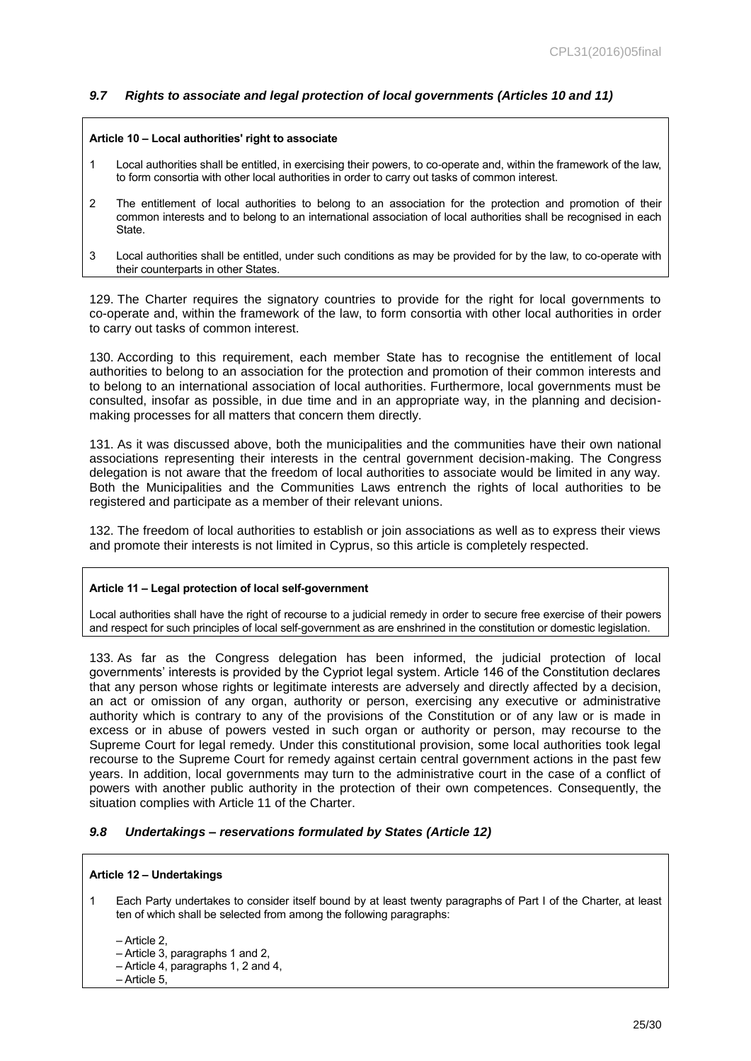### <span id="page-24-0"></span>*9.7 Rights to associate and legal protection of local governments (Articles 10 and 11)*

#### **Article 10 – Local authorities' right to associate**

- 1 Local authorities shall be entitled, in exercising their powers, to co-operate and, within the framework of the law, to form consortia with other local authorities in order to carry out tasks of common interest.
- 2 The entitlement of local authorities to belong to an association for the protection and promotion of their common interests and to belong to an international association of local authorities shall be recognised in each State.
- 3 Local authorities shall be entitled, under such conditions as may be provided for by the law, to co-operate with their counterparts in other States.

129. The Charter requires the signatory countries to provide for the right for local governments to co-operate and, within the framework of the law, to form consortia with other local authorities in order to carry out tasks of common interest.

130. According to this requirement, each member State has to recognise the entitlement of local authorities to belong to an association for the protection and promotion of their common interests and to belong to an international association of local authorities. Furthermore, local governments must be consulted, insofar as possible, in due time and in an appropriate way, in the planning and decisionmaking processes for all matters that concern them directly.

131. As it was discussed above, both the municipalities and the communities have their own national associations representing their interests in the central government decision-making. The Congress delegation is not aware that the freedom of local authorities to associate would be limited in any way. Both the Municipalities and the Communities Laws entrench the rights of local authorities to be registered and participate as a member of their relevant unions.

132. The freedom of local authorities to establish or join associations as well as to express their views and promote their interests is not limited in Cyprus, so this article is completely respected.

#### **Article 11 – Legal protection of local self-government**

Local authorities shall have the right of recourse to a judicial remedy in order to secure free exercise of their powers and respect for such principles of local self-government as are enshrined in the constitution or domestic legislation.

133. As far as the Congress delegation has been informed, the judicial protection of local governments' interests is provided by the Cypriot legal system. Article 146 of the Constitution declares that any person whose rights or legitimate interests are adversely and directly affected by a decision, an act or omission of any organ, authority or person, exercising any executive or administrative authority which is contrary to any of the provisions of the Constitution or of any law or is made in excess or in abuse of powers vested in such organ or authority or person, may recourse to the Supreme Court for legal remedy. Under this constitutional provision, some local authorities took legal recourse to the Supreme Court for remedy against certain central government actions in the past few years. In addition, local governments may turn to the administrative court in the case of a conflict of powers with another public authority in the protection of their own competences. Consequently, the situation complies with Article 11 of the Charter.

### <span id="page-24-1"></span>*9.8 Undertakings – reservations formulated by States (Article 12)*

#### **Article 12 – Undertakings**

1 Each Party undertakes to consider itself bound by at least twenty paragraphs of Part I of the Charter, at least ten of which shall be selected from among the following paragraphs:

– Article 2,

- Article 3, paragraphs 1 and 2,
- Article 4, paragraphs 1, 2 and 4,

– Article 5,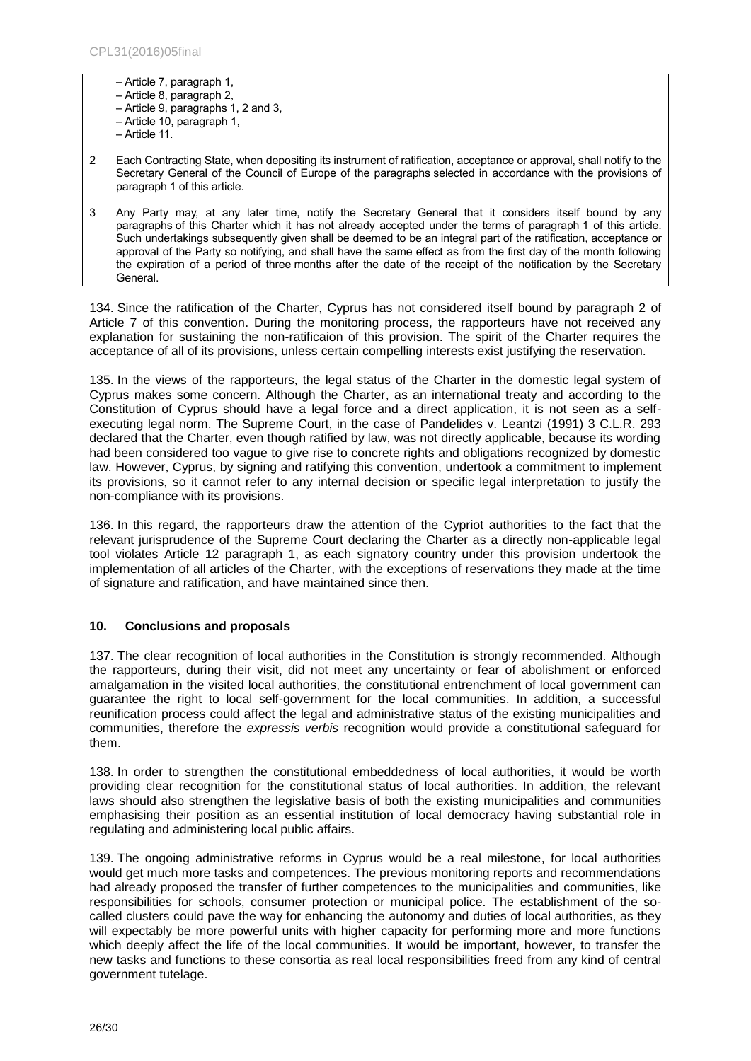– Article 7, paragraph 1, – Article 8, paragraph 2, – Article 9, paragraphs 1, 2 and 3, – Article 10, paragraph 1, – Article 11.

- 2 Each Contracting State, when depositing its instrument of ratification, acceptance or approval, shall notify to the Secretary General of the Council of Europe of the paragraphs selected in accordance with the provisions of paragraph 1 of this article.
- 3 Any Party may, at any later time, notify the Secretary General that it considers itself bound by any paragraphs of this Charter which it has not already accepted under the terms of paragraph 1 of this article. Such undertakings subsequently given shall be deemed to be an integral part of the ratification, acceptance or approval of the Party so notifying, and shall have the same effect as from the first day of the month following the expiration of a period of three months after the date of the receipt of the notification by the Secretary General.

134. Since the ratification of the Charter, Cyprus has not considered itself bound by paragraph 2 of Article 7 of this convention. During the monitoring process, the rapporteurs have not received any explanation for sustaining the non-ratificaion of this provision. The spirit of the Charter requires the acceptance of all of its provisions, unless certain compelling interests exist justifying the reservation.

135. In the views of the rapporteurs, the legal status of the Charter in the domestic legal system of Cyprus makes some concern. Although the Charter, as an international treaty and according to the Constitution of Cyprus should have a legal force and a direct application, it is not seen as a selfexecuting legal norm. The Supreme Court, in the case of Pandelides v. Leantzi (1991) 3 C.L.R. 293 declared that the Charter, even though ratified by law, was not directly applicable, because its wording had been considered too vague to give rise to concrete rights and obligations recognized by domestic law. However, Cyprus, by signing and ratifying this convention, undertook a commitment to implement its provisions, so it cannot refer to any internal decision or specific legal interpretation to justify the non-compliance with its provisions.

136. In this regard, the rapporteurs draw the attention of the Cypriot authorities to the fact that the relevant jurisprudence of the Supreme Court declaring the Charter as a directly non-applicable legal tool violates Article 12 paragraph 1, as each signatory country under this provision undertook the implementation of all articles of the Charter, with the exceptions of reservations they made at the time of signature and ratification, and have maintained since then.

### <span id="page-25-0"></span>**10. Conclusions and proposals**

137. The clear recognition of local authorities in the Constitution is strongly recommended. Although the rapporteurs, during their visit, did not meet any uncertainty or fear of abolishment or enforced amalgamation in the visited local authorities, the constitutional entrenchment of local government can guarantee the right to local self-government for the local communities. In addition, a successful reunification process could affect the legal and administrative status of the existing municipalities and communities, therefore the *expressis verbis* recognition would provide a constitutional safeguard for them.

138. In order to strengthen the constitutional embeddedness of local authorities, it would be worth providing clear recognition for the constitutional status of local authorities. In addition, the relevant laws should also strengthen the legislative basis of both the existing municipalities and communities emphasising their position as an essential institution of local democracy having substantial role in regulating and administering local public affairs.

139. The ongoing administrative reforms in Cyprus would be a real milestone, for local authorities would get much more tasks and competences. The previous monitoring reports and recommendations had already proposed the transfer of further competences to the municipalities and communities, like responsibilities for schools, consumer protection or municipal police. The establishment of the socalled clusters could pave the way for enhancing the autonomy and duties of local authorities, as they will expectably be more powerful units with higher capacity for performing more and more functions which deeply affect the life of the local communities. It would be important, however, to transfer the new tasks and functions to these consortia as real local responsibilities freed from any kind of central government tutelage.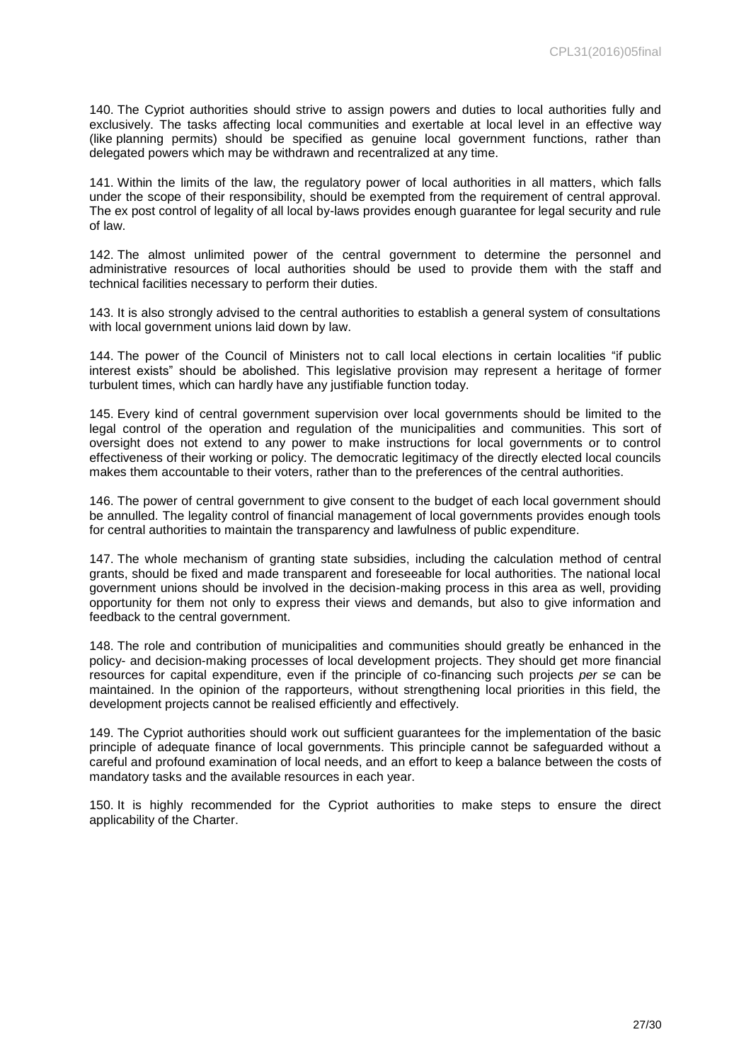140. The Cypriot authorities should strive to assign powers and duties to local authorities fully and exclusively. The tasks affecting local communities and exertable at local level in an effective way (like planning permits) should be specified as genuine local government functions, rather than delegated powers which may be withdrawn and recentralized at any time.

141. Within the limits of the law, the regulatory power of local authorities in all matters, which falls under the scope of their responsibility, should be exempted from the requirement of central approval. The ex post control of legality of all local by-laws provides enough guarantee for legal security and rule of law.

142. The almost unlimited power of the central government to determine the personnel and administrative resources of local authorities should be used to provide them with the staff and technical facilities necessary to perform their duties.

143. It is also strongly advised to the central authorities to establish a general system of consultations with local government unions laid down by law.

144. The power of the Council of Ministers not to call local elections in certain localities "if public interest exists" should be abolished. This legislative provision may represent a heritage of former turbulent times, which can hardly have any justifiable function today.

145. Every kind of central government supervision over local governments should be limited to the legal control of the operation and regulation of the municipalities and communities. This sort of oversight does not extend to any power to make instructions for local governments or to control effectiveness of their working or policy. The democratic legitimacy of the directly elected local councils makes them accountable to their voters, rather than to the preferences of the central authorities.

146. The power of central government to give consent to the budget of each local government should be annulled. The legality control of financial management of local governments provides enough tools for central authorities to maintain the transparency and lawfulness of public expenditure.

147. The whole mechanism of granting state subsidies, including the calculation method of central grants, should be fixed and made transparent and foreseeable for local authorities. The national local government unions should be involved in the decision-making process in this area as well, providing opportunity for them not only to express their views and demands, but also to give information and feedback to the central government.

148. The role and contribution of municipalities and communities should greatly be enhanced in the policy- and decision-making processes of local development projects. They should get more financial resources for capital expenditure, even if the principle of co-financing such projects *per se* can be maintained. In the opinion of the rapporteurs, without strengthening local priorities in this field, the development projects cannot be realised efficiently and effectively.

149. The Cypriot authorities should work out sufficient guarantees for the implementation of the basic principle of adequate finance of local governments. This principle cannot be safeguarded without a careful and profound examination of local needs, and an effort to keep a balance between the costs of mandatory tasks and the available resources in each year.

150. It is highly recommended for the Cypriot authorities to make steps to ensure the direct applicability of the Charter.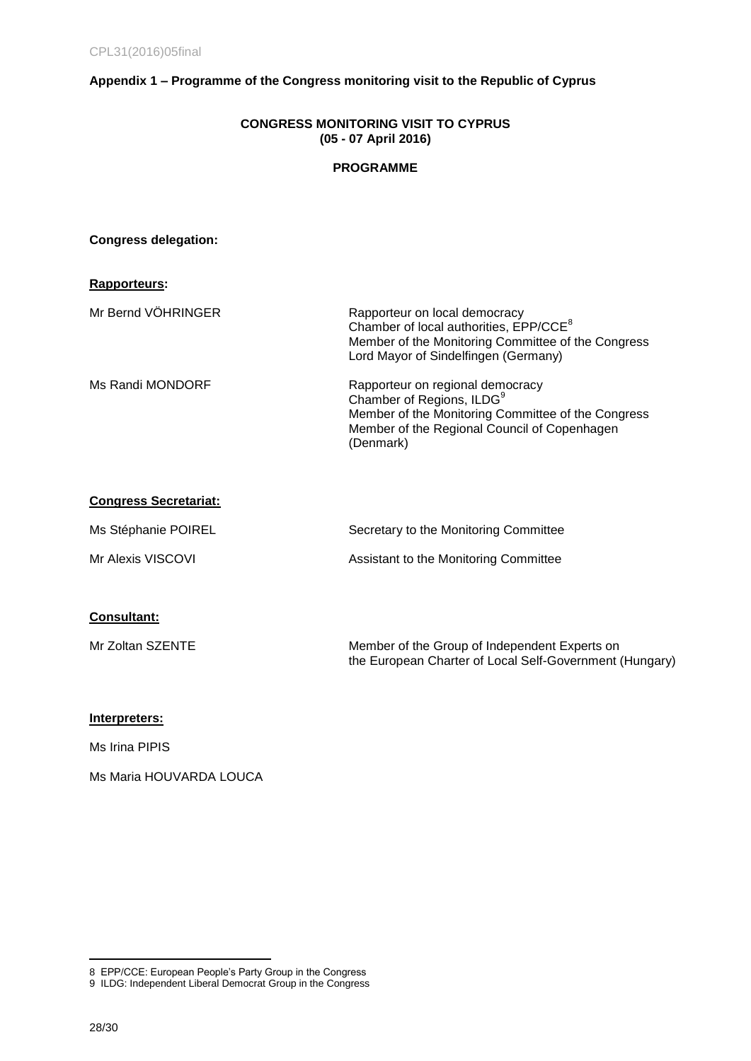## <span id="page-27-0"></span>**Appendix 1 – Programme of the Congress monitoring visit to the Republic of Cyprus**

### **CONGRESS MONITORING VISIT TO CYPRUS (05 - 07 April 2016)**

### **PROGRAMME**

### **Congress delegation:**

| <b>Rapporteurs:</b> |                                                                                                                                                                                              |
|---------------------|----------------------------------------------------------------------------------------------------------------------------------------------------------------------------------------------|
| Mr Bernd VÖHRINGER  | Rapporteur on local democracy<br>Chamber of local authorities, EPP/CCE <sup>8</sup><br>Member of the Monitoring Committee of the Congress<br>Lord Mayor of Sindelfingen (Germany)            |
| Ms Randi MONDORF    | Rapporteur on regional democracy<br>Chamber of Regions, ILDG <sup>9</sup><br>Member of the Monitoring Committee of the Congress<br>Member of the Regional Council of Copenhagen<br>(Denmark) |

### **Congress Secretariat:**

| Ms Stéphanie POIREL | Secretary to the Monitoring Committee |
|---------------------|---------------------------------------|
| Mr Alexis VISCOVI   | Assistant to the Monitoring Committee |

## **Consultant:**

| Mr Zoltan SZENTE | Member of the Group of Independent Experts on           |
|------------------|---------------------------------------------------------|
|                  | the European Charter of Local Self-Government (Hungary) |

### **Interpreters:**

Ms Irina PIPIS

Ms Maria HOUVARDA LOUCA

 $\overline{a}$ 

<sup>8</sup> EPP/CCE: European People's Party Group in the Congress

<sup>9</sup> ILDG: Independent Liberal Democrat Group in the Congress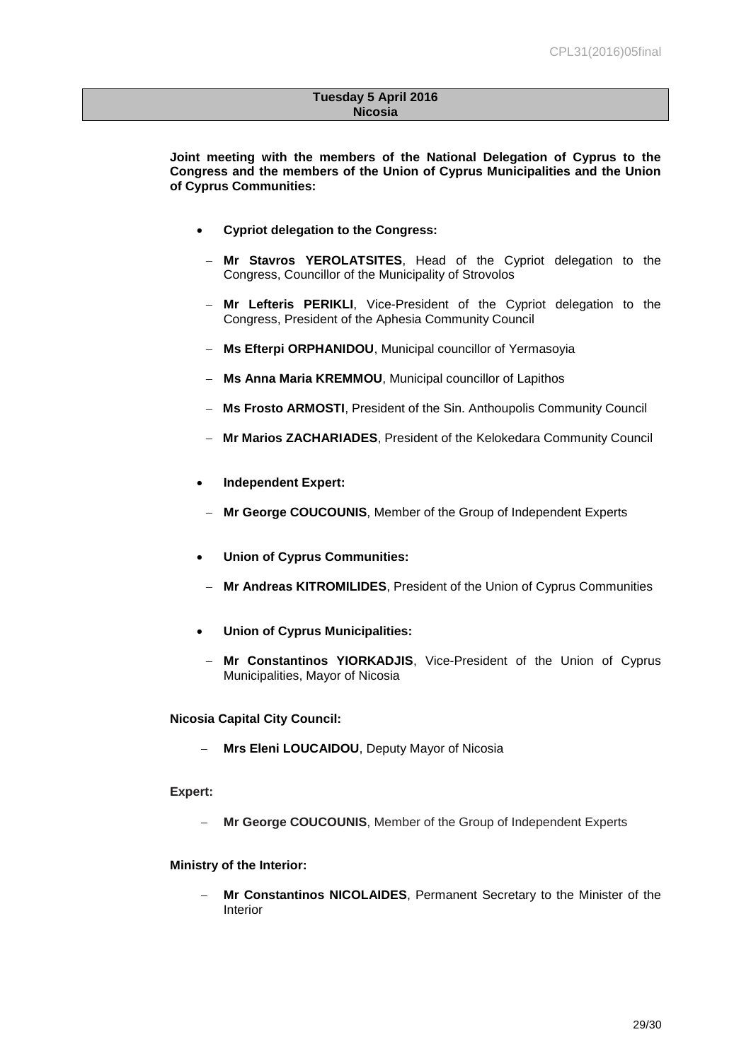#### **Tuesday 5 April 2016 Nicosia**

**Joint meeting with the members of the National Delegation of Cyprus to the Congress and the members of the Union of Cyprus Municipalities and the Union of Cyprus Communities:** 

- **Cypriot delegation to the Congress:**
- **Mr Stavros YEROLATSITES**, Head of the Cypriot delegation to the Congress, Councillor of the Municipality of Strovolos
- **Mr Lefteris PERIKLI**, Vice-President of the Cypriot delegation to the Congress, President of the Aphesia Community Council
- **Ms Efterpi ORPHANIDOU**, Municipal councillor of Yermasoyia
- **Ms Anna Maria KREMMOU**, Municipal councillor of Lapithos
- **Ms Frosto ARMOSTI**, President of the Sin. Anthoupolis Community Council
- **Mr Marios ZACHARIADES**, President of the Kelokedara Community Council
- **Independent Expert:**
- **Mr George COUCOUNIS**, Member of the Group of Independent Experts
- **Union of Cyprus Communities:**
- **Mr Andreas KITROMILIDES**, President of the Union of Cyprus Communities
- **Union of Cyprus Municipalities:**
- **Mr Constantinos YIORKADJIS**, Vice-President of the Union of Cyprus Municipalities, Mayor of Nicosia

**Nicosia Capital City Council:** 

**Mrs Eleni LOUCAIDOU**, Deputy Mayor of Nicosia

### **Expert:**

**Mr George COUCOUNIS**, Member of the Group of Independent Experts

### **Ministry of the Interior:**

 **Mr Constantinos NICOLAIDES**, Permanent Secretary to the Minister of the Interior